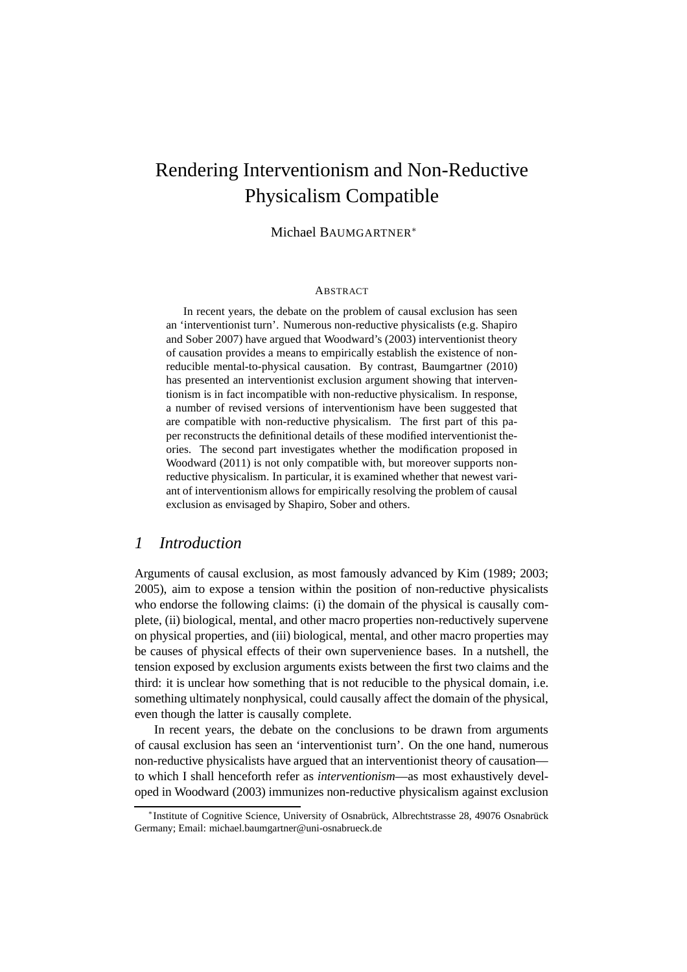# Rendering Interventionism and Non-Reductive Physicalism Compatible

Michael BAUMGARTNER<sup>∗</sup>

#### ABSTRACT

In recent years, the debate on the problem of causal exclusion has seen an 'interventionist turn'. Numerous non-reductive physicalists (e.g. Shapiro and Sober 2007) have argued that Woodward's (2003) interventionist theory of causation provides a means to empirically establish the existence of nonreducible mental-to-physical causation. By contrast, Baumgartner (2010) has presented an interventionist exclusion argument showing that interventionism is in fact incompatible with non-reductive physicalism. In response, a number of revised versions of interventionism have been suggested that are compatible with non-reductive physicalism. The first part of this paper reconstructs the definitional details of these modified interventionist theories. The second part investigates whether the modification proposed in Woodward (2011) is not only compatible with, but moreover supports nonreductive physicalism. In particular, it is examined whether that newest variant of interventionism allows for empirically resolving the problem of causal exclusion as envisaged by Shapiro, Sober and others.

### *1 Introduction*

Arguments of causal exclusion, as most famously advanced by Kim (1989; 2003; 2005), aim to expose a tension within the position of non-reductive physicalists who endorse the following claims: (i) the domain of the physical is causally complete, (ii) biological, mental, and other macro properties non-reductively supervene on physical properties, and (iii) biological, mental, and other macro properties may be causes of physical effects of their own supervenience bases. In a nutshell, the tension exposed by exclusion arguments exists between the first two claims and the third: it is unclear how something that is not reducible to the physical domain, i.e. something ultimately nonphysical, could causally affect the domain of the physical, even though the latter is causally complete.

In recent years, the debate on the conclusions to be drawn from arguments of causal exclusion has seen an 'interventionist turn'. On the one hand, numerous non-reductive physicalists have argued that an interventionist theory of causation to which I shall henceforth refer as *interventionism*—as most exhaustively developed in Woodward (2003) immunizes non-reductive physicalism against exclusion

<sup>∗</sup> Institute of Cognitive Science, University of Osnabrück, Albrechtstrasse 28, 49076 Osnabrück Germany; Email: michael.baumgartner@uni-osnabrueck.de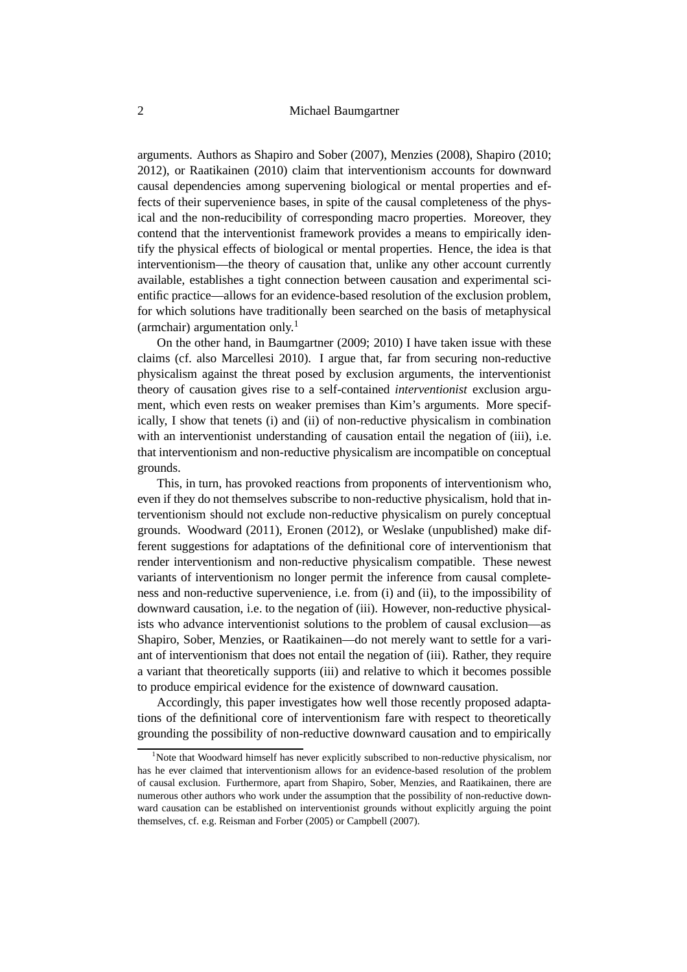arguments. Authors as Shapiro and Sober (2007), Menzies (2008), Shapiro (2010; 2012), or Raatikainen (2010) claim that interventionism accounts for downward causal dependencies among supervening biological or mental properties and effects of their supervenience bases, in spite of the causal completeness of the physical and the non-reducibility of corresponding macro properties. Moreover, they contend that the interventionist framework provides a means to empirically identify the physical effects of biological or mental properties. Hence, the idea is that interventionism—the theory of causation that, unlike any other account currently available, establishes a tight connection between causation and experimental scientific practice—allows for an evidence-based resolution of the exclusion problem, for which solutions have traditionally been searched on the basis of metaphysical (armchair) argumentation only.<sup>1</sup>

On the other hand, in Baumgartner (2009; 2010) I have taken issue with these claims (cf. also Marcellesi 2010). I argue that, far from securing non-reductive physicalism against the threat posed by exclusion arguments, the interventionist theory of causation gives rise to a self-contained *interventionist* exclusion argument, which even rests on weaker premises than Kim's arguments. More specifically, I show that tenets (i) and (ii) of non-reductive physicalism in combination with an interventionist understanding of causation entail the negation of (iii), i.e. that interventionism and non-reductive physicalism are incompatible on conceptual grounds.

This, in turn, has provoked reactions from proponents of interventionism who, even if they do not themselves subscribe to non-reductive physicalism, hold that interventionism should not exclude non-reductive physicalism on purely conceptual grounds. Woodward (2011), Eronen (2012), or Weslake (unpublished) make different suggestions for adaptations of the definitional core of interventionism that render interventionism and non-reductive physicalism compatible. These newest variants of interventionism no longer permit the inference from causal completeness and non-reductive supervenience, i.e. from (i) and (ii), to the impossibility of downward causation, i.e. to the negation of (iii). However, non-reductive physicalists who advance interventionist solutions to the problem of causal exclusion—as Shapiro, Sober, Menzies, or Raatikainen—do not merely want to settle for a variant of interventionism that does not entail the negation of (iii). Rather, they require a variant that theoretically supports (iii) and relative to which it becomes possible to produce empirical evidence for the existence of downward causation.

Accordingly, this paper investigates how well those recently proposed adaptations of the definitional core of interventionism fare with respect to theoretically grounding the possibility of non-reductive downward causation and to empirically

<sup>&</sup>lt;sup>1</sup>Note that Woodward himself has never explicitly subscribed to non-reductive physicalism, nor has he ever claimed that interventionism allows for an evidence-based resolution of the problem of causal exclusion. Furthermore, apart from Shapiro, Sober, Menzies, and Raatikainen, there are numerous other authors who work under the assumption that the possibility of non-reductive downward causation can be established on interventionist grounds without explicitly arguing the point themselves, cf. e.g. Reisman and Forber (2005) or Campbell (2007).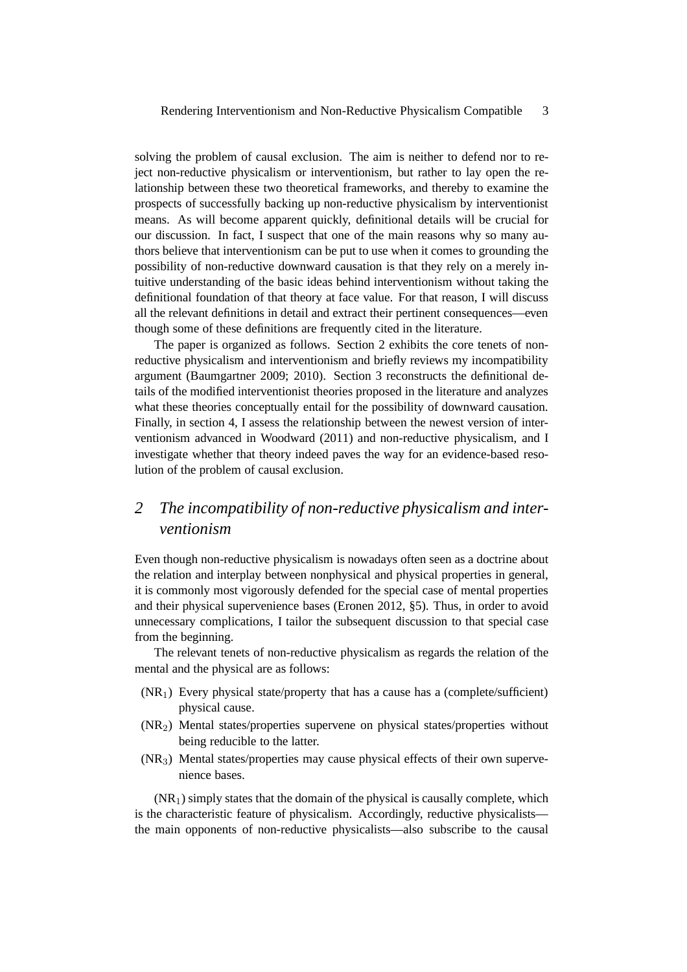solving the problem of causal exclusion. The aim is neither to defend nor to reject non-reductive physicalism or interventionism, but rather to lay open the relationship between these two theoretical frameworks, and thereby to examine the prospects of successfully backing up non-reductive physicalism by interventionist means. As will become apparent quickly, definitional details will be crucial for our discussion. In fact, I suspect that one of the main reasons why so many authors believe that interventionism can be put to use when it comes to grounding the possibility of non-reductive downward causation is that they rely on a merely intuitive understanding of the basic ideas behind interventionism without taking the definitional foundation of that theory at face value. For that reason, I will discuss all the relevant definitions in detail and extract their pertinent consequences—even though some of these definitions are frequently cited in the literature.

The paper is organized as follows. Section 2 exhibits the core tenets of nonreductive physicalism and interventionism and briefly reviews my incompatibility argument (Baumgartner 2009; 2010). Section 3 reconstructs the definitional details of the modified interventionist theories proposed in the literature and analyzes what these theories conceptually entail for the possibility of downward causation. Finally, in section 4, I assess the relationship between the newest version of interventionism advanced in Woodward (2011) and non-reductive physicalism, and I investigate whether that theory indeed paves the way for an evidence-based resolution of the problem of causal exclusion.

## *2 The incompatibility of non-reductive physicalism and interventionism*

Even though non-reductive physicalism is nowadays often seen as a doctrine about the relation and interplay between nonphysical and physical properties in general, it is commonly most vigorously defended for the special case of mental properties and their physical supervenience bases (Eronen 2012, §5). Thus, in order to avoid unnecessary complications, I tailor the subsequent discussion to that special case from the beginning.

The relevant tenets of non-reductive physicalism as regards the relation of the mental and the physical are as follows:

- $(NR<sub>1</sub>)$  Every physical state/property that has a cause has a (complete/sufficient) physical cause.
- (NR2) Mental states/properties supervene on physical states/properties without being reducible to the latter.
- (NR3) Mental states/properties may cause physical effects of their own supervenience bases.

 $(NR<sub>1</sub>)$  simply states that the domain of the physical is causally complete, which is the characteristic feature of physicalism. Accordingly, reductive physicalists the main opponents of non-reductive physicalists—also subscribe to the causal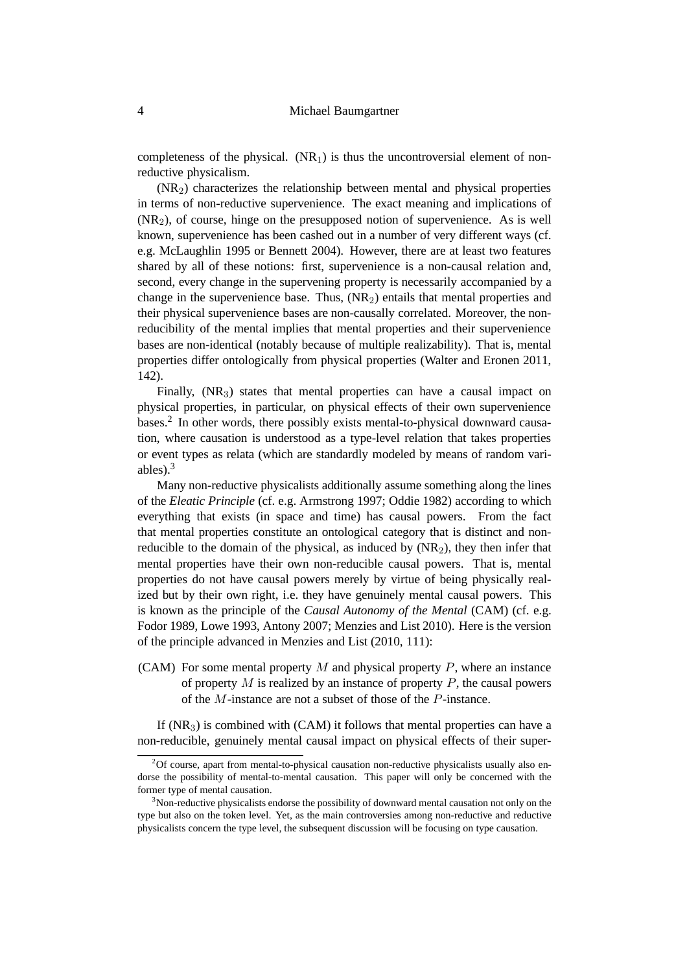completeness of the physical.  $(NR_1)$  is thus the uncontroversial element of nonreductive physicalism.

 $(NR<sub>2</sub>)$  characterizes the relationship between mental and physical properties in terms of non-reductive supervenience. The exact meaning and implications of  $(NR<sub>2</sub>)$ , of course, hinge on the presupposed notion of supervenience. As is well known, supervenience has been cashed out in a number of very different ways (cf. e.g. McLaughlin 1995 or Bennett 2004). However, there are at least two features shared by all of these notions: first, supervenience is a non-causal relation and, second, every change in the supervening property is necessarily accompanied by a change in the supervenience base. Thus,  $(NR<sub>2</sub>)$  entails that mental properties and their physical supervenience bases are non-causally correlated. Moreover, the nonreducibility of the mental implies that mental properties and their supervenience bases are non-identical (notably because of multiple realizability). That is, mental properties differ ontologically from physical properties (Walter and Eronen 2011, 142).

Finally,  $(NR_3)$  states that mental properties can have a causal impact on physical properties, in particular, on physical effects of their own supervenience bases.<sup>2</sup> In other words, there possibly exists mental-to-physical downward causation, where causation is understood as a type-level relation that takes properties or event types as relata (which are standardly modeled by means of random variables). $3$ 

Many non-reductive physicalists additionally assume something along the lines of the *Eleatic Principle* (cf. e.g. Armstrong 1997; Oddie 1982) according to which everything that exists (in space and time) has causal powers. From the fact that mental properties constitute an ontological category that is distinct and nonreducible to the domain of the physical, as induced by  $(NR<sub>2</sub>)$ , they then infer that mental properties have their own non-reducible causal powers. That is, mental properties do not have causal powers merely by virtue of being physically realized but by their own right, i.e. they have genuinely mental causal powers. This is known as the principle of the *Causal Autonomy of the Mental* (CAM) (cf. e.g. Fodor 1989, Lowe 1993, Antony 2007; Menzies and List 2010). Here is the version of the principle advanced in Menzies and List (2010, 111):

(CAM) For some mental property  $M$  and physical property  $P$ , where an instance of property  $M$  is realized by an instance of property  $P$ , the causal powers of the M-instance are not a subset of those of the P-instance.

If  $(NR_3)$  is combined with  $(CAM)$  it follows that mental properties can have a non-reducible, genuinely mental causal impact on physical effects of their super-

 $2^2$ Of course, apart from mental-to-physical causation non-reductive physicalists usually also endorse the possibility of mental-to-mental causation. This paper will only be concerned with the former type of mental causation.

<sup>&</sup>lt;sup>3</sup>Non-reductive physicalists endorse the possibility of downward mental causation not only on the type but also on the token level. Yet, as the main controversies among non-reductive and reductive physicalists concern the type level, the subsequent discussion will be focusing on type causation.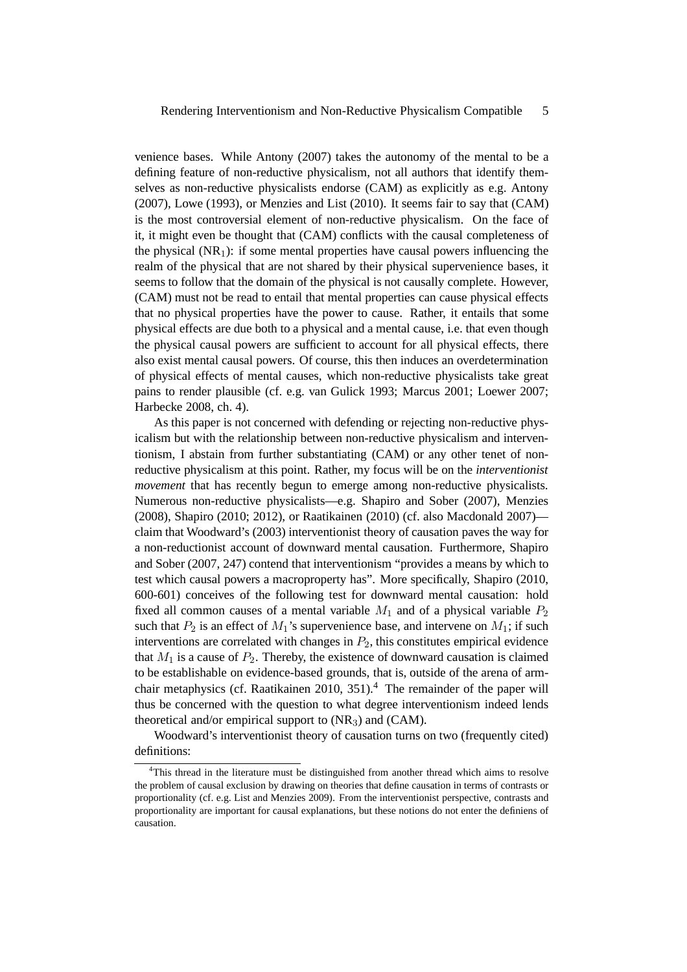venience bases. While Antony (2007) takes the autonomy of the mental to be a defining feature of non-reductive physicalism, not all authors that identify themselves as non-reductive physicalists endorse (CAM) as explicitly as e.g. Antony (2007), Lowe (1993), or Menzies and List (2010). It seems fair to say that (CAM) is the most controversial element of non-reductive physicalism. On the face of it, it might even be thought that (CAM) conflicts with the causal completeness of the physical  $(NR_1)$ : if some mental properties have causal powers influencing the realm of the physical that are not shared by their physical supervenience bases, it seems to follow that the domain of the physical is not causally complete. However, (CAM) must not be read to entail that mental properties can cause physical effects that no physical properties have the power to cause. Rather, it entails that some physical effects are due both to a physical and a mental cause, i.e. that even though the physical causal powers are sufficient to account for all physical effects, there also exist mental causal powers. Of course, this then induces an overdetermination of physical effects of mental causes, which non-reductive physicalists take great pains to render plausible (cf. e.g. van Gulick 1993; Marcus 2001; Loewer 2007; Harbecke 2008, ch. 4).

As this paper is not concerned with defending or rejecting non-reductive physicalism but with the relationship between non-reductive physicalism and interventionism, I abstain from further substantiating (CAM) or any other tenet of nonreductive physicalism at this point. Rather, my focus will be on the *interventionist movement* that has recently begun to emerge among non-reductive physicalists. Numerous non-reductive physicalists—e.g. Shapiro and Sober (2007), Menzies (2008), Shapiro (2010; 2012), or Raatikainen (2010) (cf. also Macdonald 2007) claim that Woodward's (2003) interventionist theory of causation paves the way for a non-reductionist account of downward mental causation. Furthermore, Shapiro and Sober (2007, 247) contend that interventionism "provides a means by which to test which causal powers a macroproperty has". More specifically, Shapiro (2010, 600-601) conceives of the following test for downward mental causation: hold fixed all common causes of a mental variable  $M_1$  and of a physical variable  $P_2$ such that  $P_2$  is an effect of  $M_1$ 's supervenience base, and intervene on  $M_1$ ; if such interventions are correlated with changes in  $P_2$ , this constitutes empirical evidence that  $M_1$  is a cause of  $P_2$ . Thereby, the existence of downward causation is claimed to be establishable on evidence-based grounds, that is, outside of the arena of armchair metaphysics (cf. Raatikainen 2010, 351).<sup>4</sup> The remainder of the paper will thus be concerned with the question to what degree interventionism indeed lends theoretical and/or empirical support to  $(NR_3)$  and  $(CAM)$ .

Woodward's interventionist theory of causation turns on two (frequently cited) definitions:

<sup>4</sup>This thread in the literature must be distinguished from another thread which aims to resolve the problem of causal exclusion by drawing on theories that define causation in terms of contrasts or proportionality (cf. e.g. List and Menzies 2009). From the interventionist perspective, contrasts and proportionality are important for causal explanations, but these notions do not enter the definiens of causation.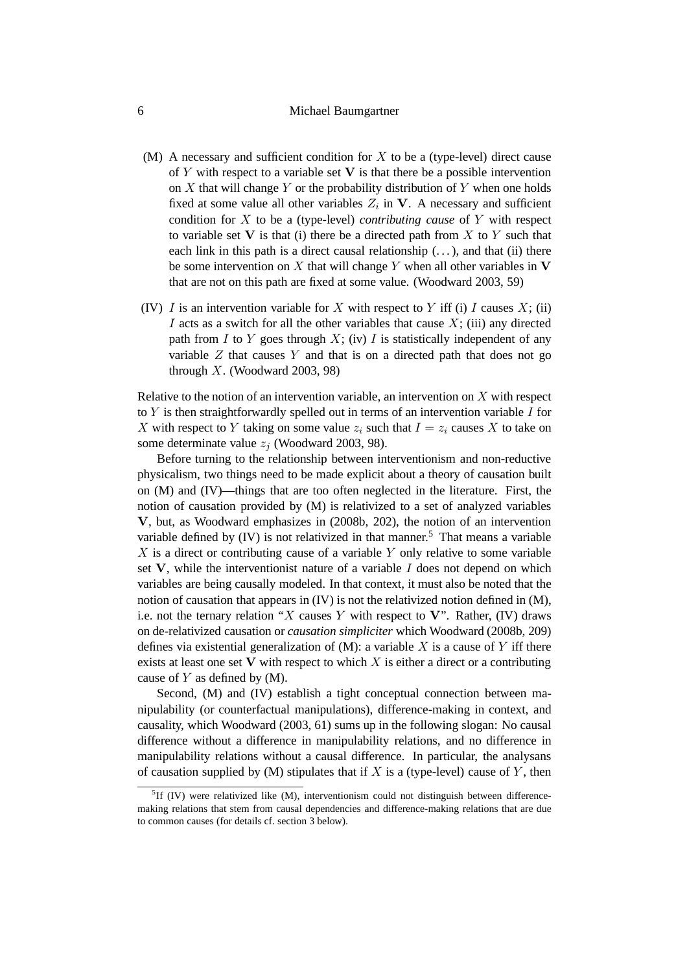#### 6 Michael Baumgartner

- (M) A necessary and sufficient condition for  $X$  to be a (type-level) direct cause of Y with respect to a variable set  $V$  is that there be a possible intervention on  $X$  that will change  $Y$  or the probability distribution of  $Y$  when one holds fixed at some value all other variables  $Z_i$  in V. A necessary and sufficient condition for X to be a (type-level) *contributing cause* of Y with respect to variable set V is that (i) there be a directed path from X to Y such that each link in this path is a direct causal relationship  $(\ldots)$ , and that (ii) there be some intervention on  $X$  that will change  $Y$  when all other variables in  $V$ that are not on this path are fixed at some value. (Woodward 2003, 59)
- (IV)  $I$  is an intervention variable for  $X$  with respect to  $Y$  iff (i)  $I$  causes  $X$ ; (ii) I acts as a switch for all the other variables that cause  $X$ ; (iii) any directed path from I to Y goes through  $X$ ; (iv) I is statistically independent of any variable  $Z$  that causes  $Y$  and that is on a directed path that does not go through  $X$ . (Woodward 2003, 98)

Relative to the notion of an intervention variable, an intervention on  $X$  with respect to  $Y$  is then straightforwardly spelled out in terms of an intervention variable  $I$  for X with respect to Y taking on some value  $z_i$  such that  $I = z_i$  causes X to take on some determinate value  $z_i$  (Woodward 2003, 98).

Before turning to the relationship between interventionism and non-reductive physicalism, two things need to be made explicit about a theory of causation built on (M) and (IV)—things that are too often neglected in the literature. First, the notion of causation provided by (M) is relativized to a set of analyzed variables V, but, as Woodward emphasizes in (2008b, 202), the notion of an intervention variable defined by  $(IV)$  is not relativized in that manner.<sup>5</sup> That means a variable  $X$  is a direct or contributing cause of a variable  $Y$  only relative to some variable set  $V$ , while the interventionist nature of a variable  $I$  does not depend on which variables are being causally modeled. In that context, it must also be noted that the notion of causation that appears in (IV) is not the relativized notion defined in (M), i.e. not the ternary relation "X causes Y with respect to V". Rather, (IV) draws on de-relativized causation or *causation simpliciter* which Woodward (2008b, 209) defines via existential generalization of  $(M)$ : a variable X is a cause of Y iff there exists at least one set  $V$  with respect to which  $X$  is either a direct or a contributing cause of  $Y$  as defined by  $(M)$ .

Second, (M) and (IV) establish a tight conceptual connection between manipulability (or counterfactual manipulations), difference-making in context, and causality, which Woodward (2003, 61) sums up in the following slogan: No causal difference without a difference in manipulability relations, and no difference in manipulability relations without a causal difference. In particular, the analysans of causation supplied by  $(M)$  stipulates that if X is a (type-level) cause of Y, then

<sup>&</sup>lt;sup>5</sup>If (IV) were relativized like (M), interventionism could not distinguish between differencemaking relations that stem from causal dependencies and difference-making relations that are due to common causes (for details cf. section 3 below).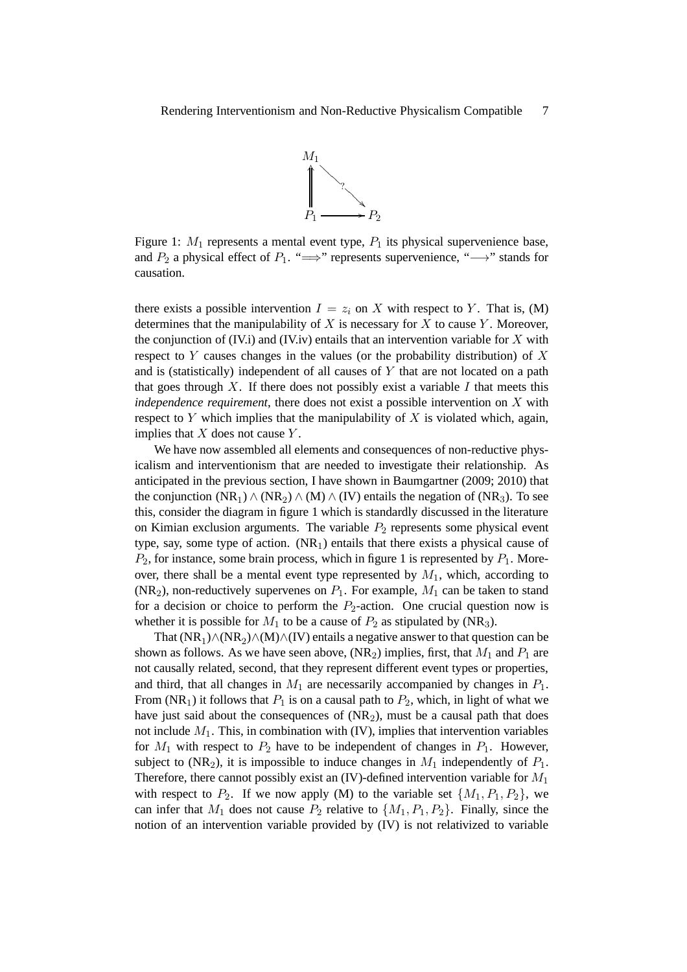

Figure 1:  $M_1$  represents a mental event type,  $P_1$  its physical supervenience base, and  $P_2$  a physical effect of  $P_1$ . " $\Longrightarrow$ " represents supervenience, " $\Longrightarrow$ " stands for causation.

there exists a possible intervention  $I = z_i$  on X with respect to Y. That is, (M) determines that the manipulability of  $X$  is necessary for  $X$  to cause  $Y$ . Moreover, the conjunction of  $(IV,i)$  and  $(IV,i)$  entails that an intervention variable for X with respect to Y causes changes in the values (or the probability distribution) of  $X$ and is (statistically) independent of all causes of  $Y$  that are not located on a path that goes through X. If there does not possibly exist a variable I that meets this *independence requirement*, there does not exist a possible intervention on X with respect to  $Y$  which implies that the manipulability of  $X$  is violated which, again, implies that  $X$  does not cause  $Y$ .

We have now assembled all elements and consequences of non-reductive physicalism and interventionism that are needed to investigate their relationship. As anticipated in the previous section, I have shown in Baumgartner (2009; 2010) that the conjunction  $(NR_1) \wedge (NR_2) \wedge (M) \wedge (IV)$  entails the negation of  $(NR_3)$ . To see this, consider the diagram in figure 1 which is standardly discussed in the literature on Kimian exclusion arguments. The variable  $P_2$  represents some physical event type, say, some type of action.  $(NR_1)$  entails that there exists a physical cause of  $P_2$ , for instance, some brain process, which in figure 1 is represented by  $P_1$ . Moreover, there shall be a mental event type represented by  $M_1$ , which, according to  $(NR_2)$ , non-reductively supervenes on  $P_1$ . For example,  $M_1$  can be taken to stand for a decision or choice to perform the  $P_2$ -action. One crucial question now is whether it is possible for  $M_1$  to be a cause of  $P_2$  as stipulated by (NR<sub>3</sub>).

That  $(NR_1) \wedge (NR_2) \wedge (M) \wedge (IV)$  entails a negative answer to that question can be shown as follows. As we have seen above,  $(NR_2)$  implies, first, that  $M_1$  and  $P_1$  are not causally related, second, that they represent different event types or properties, and third, that all changes in  $M_1$  are necessarily accompanied by changes in  $P_1$ . From  $(NR_1)$  it follows that  $P_1$  is on a causal path to  $P_2$ , which, in light of what we have just said about the consequences of  $(NR<sub>2</sub>)$ , must be a causal path that does not include  $M_1$ . This, in combination with (IV), implies that intervention variables for  $M_1$  with respect to  $P_2$  have to be independent of changes in  $P_1$ . However, subject to  $(NR_2)$ , it is impossible to induce changes in  $M_1$  independently of  $P_1$ . Therefore, there cannot possibly exist an (IV)-defined intervention variable for  $M_1$ with respect to  $P_2$ . If we now apply (M) to the variable set  $\{M_1, P_1, P_2\}$ , we can infer that  $M_1$  does not cause  $P_2$  relative to  $\{M_1, P_1, P_2\}$ . Finally, since the notion of an intervention variable provided by (IV) is not relativized to variable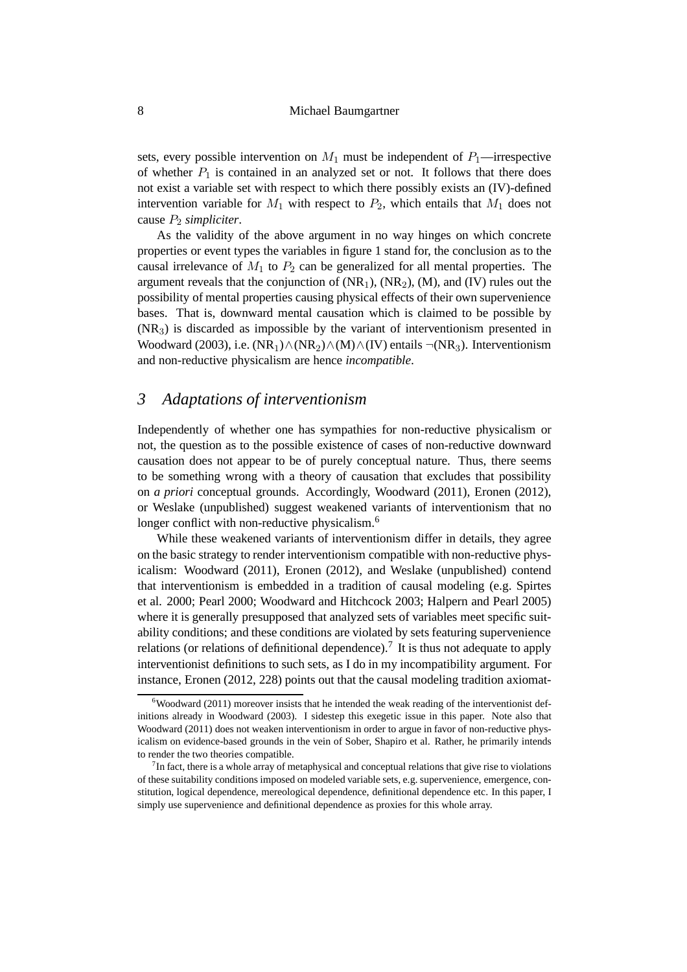sets, every possible intervention on  $M_1$  must be independent of  $P_1$ —irrespective of whether  $P_1$  is contained in an analyzed set or not. It follows that there does not exist a variable set with respect to which there possibly exists an (IV)-defined intervention variable for  $M_1$  with respect to  $P_2$ , which entails that  $M_1$  does not cause P2 *simpliciter*.

As the validity of the above argument in no way hinges on which concrete properties or event types the variables in figure 1 stand for, the conclusion as to the causal irrelevance of  $M_1$  to  $P_2$  can be generalized for all mental properties. The argument reveals that the conjunction of  $(NR_1)$ ,  $(NR_2)$ ,  $(M)$ , and  $(IV)$  rules out the possibility of mental properties causing physical effects of their own supervenience bases. That is, downward mental causation which is claimed to be possible by  $(NR<sub>3</sub>)$  is discarded as impossible by the variant of interventionism presented in Woodward (2003), i.e.  $(NR_1) \wedge (NR_2) \wedge (M) \wedge (IV)$  entails  $\neg(NR_3)$ . Interventionism and non-reductive physicalism are hence *incompatible*.

## *3 Adaptations of interventionism*

Independently of whether one has sympathies for non-reductive physicalism or not, the question as to the possible existence of cases of non-reductive downward causation does not appear to be of purely conceptual nature. Thus, there seems to be something wrong with a theory of causation that excludes that possibility on *a priori* conceptual grounds. Accordingly, Woodward (2011), Eronen (2012), or Weslake (unpublished) suggest weakened variants of interventionism that no longer conflict with non-reductive physicalism.<sup>6</sup>

While these weakened variants of interventionism differ in details, they agree on the basic strategy to render interventionism compatible with non-reductive physicalism: Woodward (2011), Eronen (2012), and Weslake (unpublished) contend that interventionism is embedded in a tradition of causal modeling (e.g. Spirtes et al. 2000; Pearl 2000; Woodward and Hitchcock 2003; Halpern and Pearl 2005) where it is generally presupposed that analyzed sets of variables meet specific suitability conditions; and these conditions are violated by sets featuring supervenience relations (or relations of definitional dependence).<sup>7</sup> It is thus not adequate to apply interventionist definitions to such sets, as I do in my incompatibility argument. For instance, Eronen (2012, 228) points out that the causal modeling tradition axiomat-

 $6W$ oodward (2011) moreover insists that he intended the weak reading of the interventionist definitions already in Woodward (2003). I sidestep this exegetic issue in this paper. Note also that Woodward (2011) does not weaken interventionism in order to argue in favor of non-reductive physicalism on evidence-based grounds in the vein of Sober, Shapiro et al. Rather, he primarily intends to render the two theories compatible.

 $<sup>7</sup>$ In fact, there is a whole array of metaphysical and conceptual relations that give rise to violations</sup> of these suitability conditions imposed on modeled variable sets, e.g. supervenience, emergence, constitution, logical dependence, mereological dependence, definitional dependence etc. In this paper, I simply use supervenience and definitional dependence as proxies for this whole array.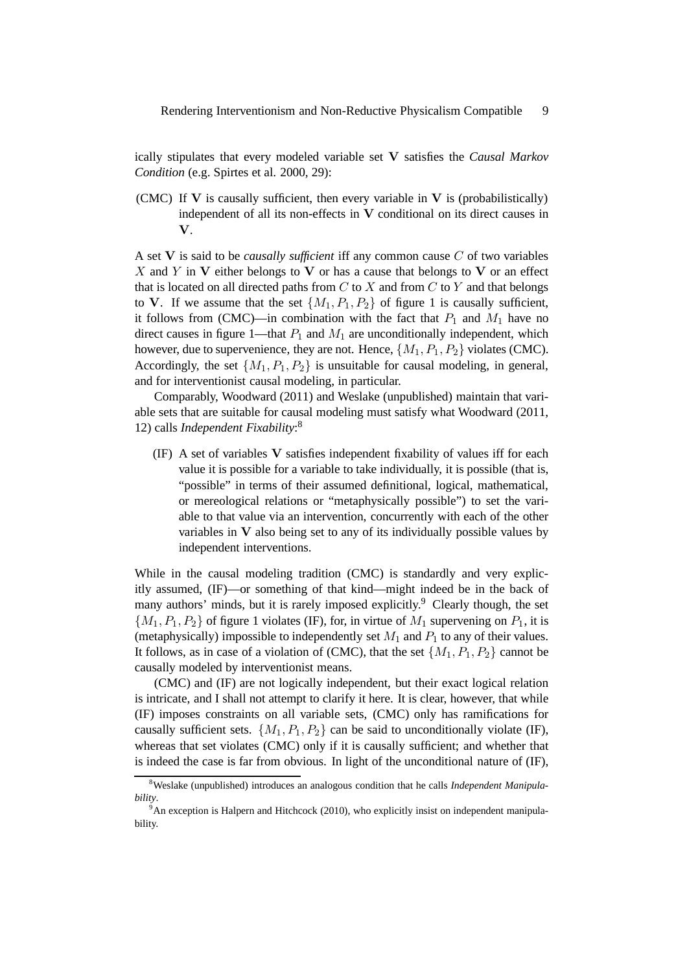ically stipulates that every modeled variable set V satisfies the *Causal Markov Condition* (e.g. Spirtes et al. 2000, 29):

(CMC) If  $V$  is causally sufficient, then every variable in  $V$  is (probabilistically) independent of all its non-effects in  $V$  conditional on its direct causes in V.

A set V is said to be *causally sufficient* iff any common cause C of two variables X and Y in V either belongs to V or has a cause that belongs to V or an effect that is located on all directed paths from  $C$  to  $X$  and from  $C$  to  $Y$  and that belongs to V. If we assume that the set  $\{M_1, P_1, P_2\}$  of figure 1 is causally sufficient, it follows from (CMC)—in combination with the fact that  $P_1$  and  $M_1$  have no direct causes in figure 1—that  $P_1$  and  $M_1$  are unconditionally independent, which however, due to supervenience, they are not. Hence,  $\{M_1, P_1, P_2\}$  violates (CMC). Accordingly, the set  $\{M_1, P_1, P_2\}$  is unsuitable for causal modeling, in general, and for interventionist causal modeling, in particular.

Comparably, Woodward (2011) and Weslake (unpublished) maintain that variable sets that are suitable for causal modeling must satisfy what Woodward (2011, 12) calls *Independent Fixability*: 8

(IF) A set of variables V satisfies independent fixability of values iff for each value it is possible for a variable to take individually, it is possible (that is, "possible" in terms of their assumed definitional, logical, mathematical, or mereological relations or "metaphysically possible") to set the variable to that value via an intervention, concurrently with each of the other variables in  $V$  also being set to any of its individually possible values by independent interventions.

While in the causal modeling tradition (CMC) is standardly and very explicitly assumed, (IF)—or something of that kind—might indeed be in the back of many authors' minds, but it is rarely imposed explicitly.<sup>9</sup> Clearly though, the set  $\{M_1, P_1, P_2\}$  of figure 1 violates (IF), for, in virtue of  $M_1$  supervening on  $P_1$ , it is (metaphysically) impossible to independently set  $M_1$  and  $P_1$  to any of their values. It follows, as in case of a violation of (CMC), that the set  $\{M_1, P_1, P_2\}$  cannot be causally modeled by interventionist means.

(CMC) and (IF) are not logically independent, but their exact logical relation is intricate, and I shall not attempt to clarify it here. It is clear, however, that while (IF) imposes constraints on all variable sets, (CMC) only has ramifications for causally sufficient sets.  $\{M_1, P_1, P_2\}$  can be said to unconditionally violate (IF), whereas that set violates (CMC) only if it is causally sufficient; and whether that is indeed the case is far from obvious. In light of the unconditional nature of (IF),

<sup>8</sup>Weslake (unpublished) introduces an analogous condition that he calls *Independent Manipulability*.

<sup>&</sup>lt;sup>9</sup>An exception is Halpern and Hitchcock (2010), who explicitly insist on independent manipulability.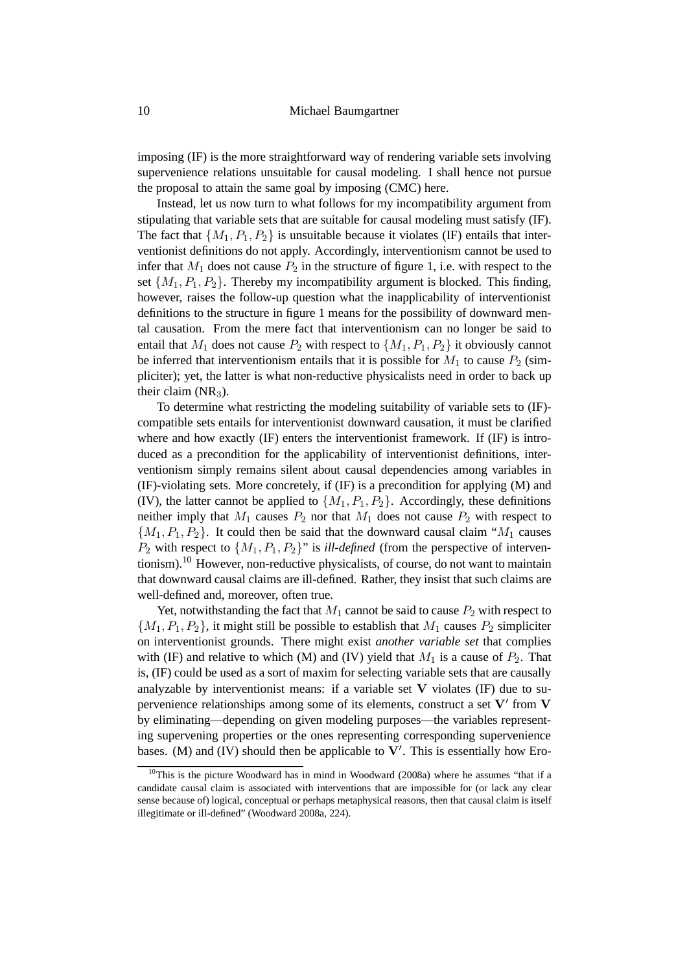imposing (IF) is the more straightforward way of rendering variable sets involving supervenience relations unsuitable for causal modeling. I shall hence not pursue the proposal to attain the same goal by imposing (CMC) here.

Instead, let us now turn to what follows for my incompatibility argument from stipulating that variable sets that are suitable for causal modeling must satisfy (IF). The fact that  $\{M_1, P_1, P_2\}$  is unsuitable because it violates (IF) entails that interventionist definitions do not apply. Accordingly, interventionism cannot be used to infer that  $M_1$  does not cause  $P_2$  in the structure of figure 1, i.e. with respect to the set  $\{M_1, P_1, P_2\}$ . Thereby my incompatibility argument is blocked. This finding, however, raises the follow-up question what the inapplicability of interventionist definitions to the structure in figure 1 means for the possibility of downward mental causation. From the mere fact that interventionism can no longer be said to entail that  $M_1$  does not cause  $P_2$  with respect to  $\{M_1, P_1, P_2\}$  it obviously cannot be inferred that interventionism entails that it is possible for  $M_1$  to cause  $P_2$  (simpliciter); yet, the latter is what non-reductive physicalists need in order to back up their claim  $(NR_3)$ .

To determine what restricting the modeling suitability of variable sets to (IF) compatible sets entails for interventionist downward causation, it must be clarified where and how exactly (IF) enters the interventionist framework. If (IF) is introduced as a precondition for the applicability of interventionist definitions, interventionism simply remains silent about causal dependencies among variables in (IF)-violating sets. More concretely, if (IF) is a precondition for applying (M) and (IV), the latter cannot be applied to  $\{M_1, P_1, P_2\}$ . Accordingly, these definitions neither imply that  $M_1$  causes  $P_2$  nor that  $M_1$  does not cause  $P_2$  with respect to  $\{M_1, P_1, P_2\}$ . It could then be said that the downward causal claim " $M_1$  causes  $P_2$  with respect to  $\{M_1, P_1, P_2\}$ " is *ill-defined* (from the perspective of interventionism).<sup>10</sup> However, non-reductive physicalists, of course, do not want to maintain that downward causal claims are ill-defined. Rather, they insist that such claims are well-defined and, moreover, often true.

Yet, notwithstanding the fact that  $M_1$  cannot be said to cause  $P_2$  with respect to  ${M_1, P_1, P_2}$ , it might still be possible to establish that  $M_1$  causes  $P_2$  simpliciter on interventionist grounds. There might exist *another variable set* that complies with (IF) and relative to which (M) and (IV) yield that  $M_1$  is a cause of  $P_2$ . That is, (IF) could be used as a sort of maxim for selecting variable sets that are causally analyzable by interventionist means: if a variable set  $V$  violates (IF) due to supervenience relationships among some of its elements, construct a set  $V'$  from  $V$ by eliminating—depending on given modeling purposes—the variables representing supervening properties or the ones representing corresponding supervenience bases. (M) and (IV) should then be applicable to  $V'$ . This is essentially how Ero-

 $10$ This is the picture Woodward has in mind in Woodward (2008a) where he assumes "that if a candidate causal claim is associated with interventions that are impossible for (or lack any clear sense because of) logical, conceptual or perhaps metaphysical reasons, then that causal claim is itself illegitimate or ill-defined" (Woodward 2008a, 224).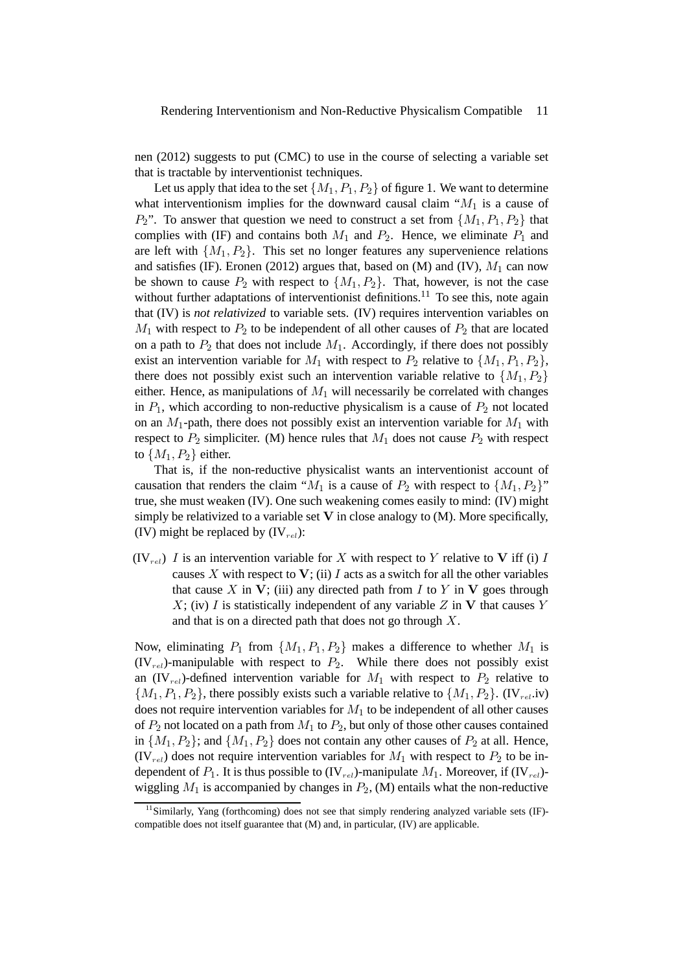nen (2012) suggests to put (CMC) to use in the course of selecting a variable set that is tractable by interventionist techniques.

Let us apply that idea to the set  $\{M_1, P_1, P_2\}$  of figure 1. We want to determine what interventionism implies for the downward causal claim " $M_1$  is a cause of  $P_2$ ". To answer that question we need to construct a set from  $\{M_1, P_1, P_2\}$  that complies with (IF) and contains both  $M_1$  and  $P_2$ . Hence, we eliminate  $P_1$  and are left with  $\{M_1, P_2\}$ . This set no longer features any supervenience relations and satisfies (IF). Eronen (2012) argues that, based on (M) and (IV),  $M_1$  can now be shown to cause  $P_2$  with respect to  $\{M_1, P_2\}$ . That, however, is not the case without further adaptations of interventionist definitions.<sup>11</sup> To see this, note again that (IV) is *not relativized* to variable sets. (IV) requires intervention variables on  $M_1$  with respect to  $P_2$  to be independent of all other causes of  $P_2$  that are located on a path to  $P_2$  that does not include  $M_1$ . Accordingly, if there does not possibly exist an intervention variable for  $M_1$  with respect to  $P_2$  relative to  $\{M_1, P_1, P_2\}$ , there does not possibly exist such an intervention variable relative to  $\{M_1, P_2\}$ either. Hence, as manipulations of  $M_1$  will necessarily be correlated with changes in  $P_1$ , which according to non-reductive physicalism is a cause of  $P_2$  not located on an  $M_1$ -path, there does not possibly exist an intervention variable for  $M_1$  with respect to  $P_2$  simpliciter. (M) hence rules that  $M_1$  does not cause  $P_2$  with respect to  $\{M_1, P_2\}$  either.

That is, if the non-reductive physicalist wants an interventionist account of causation that renders the claim " $M_1$  is a cause of  $P_2$  with respect to  $\{M_1, P_2\}$ " true, she must weaken (IV). One such weakening comes easily to mind: (IV) might simply be relativized to a variable set  $V$  in close analogy to  $(M)$ . More specifically, (IV) might be replaced by  $(IV_{rel})$ :

(IV<sub>rel</sub>) I is an intervention variable for X with respect to Y relative to V iff (i) I causes X with respect to  $V$ ; (ii) I acts as a switch for all the other variables that cause X in V; (iii) any directed path from I to Y in V goes through  $X$ ; (iv) I is statistically independent of any variable Z in V that causes Y and that is on a directed path that does not go through X.

Now, eliminating  $P_1$  from  $\{M_1, P_1, P_2\}$  makes a difference to whether  $M_1$  is  $(IV_{rel})$ -manipulable with respect to  $P_2$ . While there does not possibly exist an  $(IV_{rel})$ -defined intervention variable for  $M_1$  with respect to  $P_2$  relative to  $\{M_1, P_1, P_2\}$ , there possibly exists such a variable relative to  $\{M_1, P_2\}$ . (IV<sub>rel</sub>.iv) does not require intervention variables for  $M_1$  to be independent of all other causes of  $P_2$  not located on a path from  $M_1$  to  $P_2$ , but only of those other causes contained in  $\{M_1, P_2\}$ ; and  $\{M_1, P_2\}$  does not contain any other causes of  $P_2$  at all. Hence,  $(V_{rel})$  does not require intervention variables for  $M_1$  with respect to  $P_2$  to be independent of  $P_1$ . It is thus possible to (IV<sub>rel</sub>)-manipulate  $M_1$ . Moreover, if (IV<sub>rel</sub>)wiggling  $M_1$  is accompanied by changes in  $P_2$ , (M) entails what the non-reductive

 $11$ Similarly, Yang (forthcoming) does not see that simply rendering analyzed variable sets (IF)compatible does not itself guarantee that (M) and, in particular, (IV) are applicable.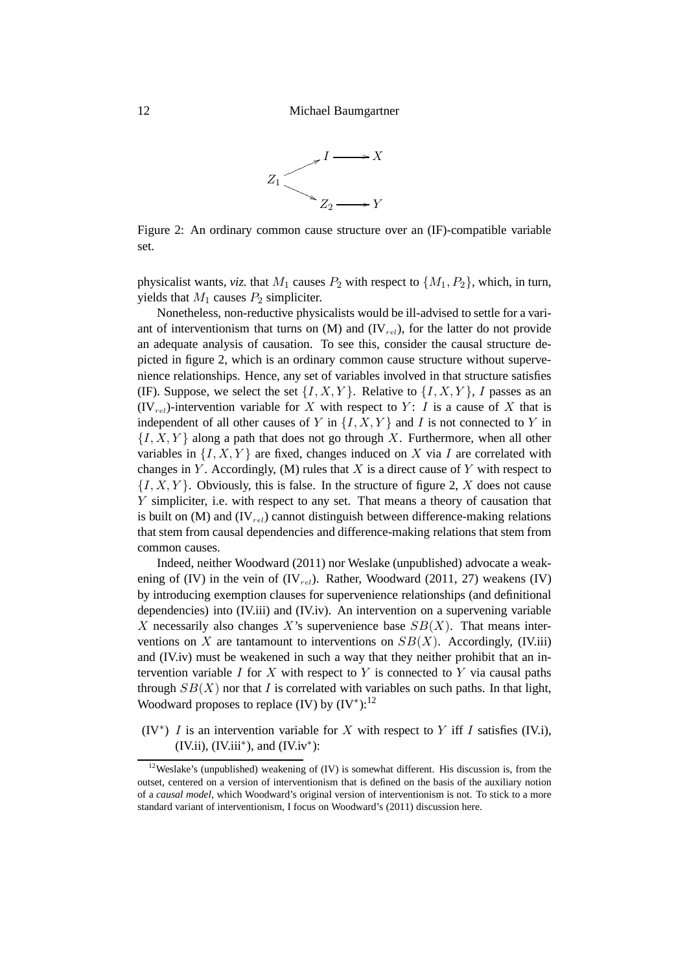

Figure 2: An ordinary common cause structure over an (IF)-compatible variable set.

physicalist wants, *viz.* that  $M_1$  causes  $P_2$  with respect to  $\{M_1, P_2\}$ , which, in turn, yields that  $M_1$  causes  $P_2$  simpliciter.

Nonetheless, non-reductive physicalists would be ill-advised to settle for a variant of interventionism that turns on  $(M)$  and  $(V_{rel})$ , for the latter do not provide an adequate analysis of causation. To see this, consider the causal structure depicted in figure 2, which is an ordinary common cause structure without supervenience relationships. Hence, any set of variables involved in that structure satisfies (IF). Suppose, we select the set  $\{I, X, Y\}$ . Relative to  $\{I, X, Y\}$ , I passes as an  $(V_{rel})$ -intervention variable for X with respect to Y: I is a cause of X that is independent of all other causes of Y in  $\{I, X, Y\}$  and I is not connected to Y in  ${I, X, Y}$  along a path that does not go through X. Furthermore, when all other variables in  $\{I, X, Y\}$  are fixed, changes induced on X via I are correlated with changes in  $Y$ . Accordingly, (M) rules that  $X$  is a direct cause of  $Y$  with respect to  $\{I, X, Y\}$ . Obviously, this is false. In the structure of figure 2, X does not cause Y simpliciter, i.e. with respect to any set. That means a theory of causation that is built on (M) and  $(IV_{rel})$  cannot distinguish between difference-making relations that stem from causal dependencies and difference-making relations that stem from common causes.

Indeed, neither Woodward (2011) nor Weslake (unpublished) advocate a weakening of (IV) in the vein of  $(IV_{rel})$ . Rather, Woodward (2011, 27) weakens (IV) by introducing exemption clauses for supervenience relationships (and definitional dependencies) into (IV.iii) and (IV.iv). An intervention on a supervening variable X necessarily also changes X's supervenience base  $SB(X)$ . That means interventions on X are tantamount to interventions on  $SB(X)$ . Accordingly, (IV.iii) and (IV.iv) must be weakened in such a way that they neither prohibit that an intervention variable  $I$  for  $X$  with respect to  $Y$  is connected to  $Y$  via causal paths through  $SB(X)$  nor that I is correlated with variables on such paths. In that light, Woodward proposes to replace  $(IV)$  by  $(IV^*)$ :<sup>12</sup>

(IV<sup>\*</sup>) *I* is an intervention variable for *X* with respect to *Y* iff *I* satisfies (IV.i),  $(IV.ii)$ ,  $(IV.iii^*)$ , and  $(IV.iv^*)$ :

 $12$ Weslake's (unpublished) weakening of (IV) is somewhat different. His discussion is, from the outset, centered on a version of interventionism that is defined on the basis of the auxiliary notion of a *causal model*, which Woodward's original version of interventionism is not. To stick to a more standard variant of interventionism, I focus on Woodward's (2011) discussion here.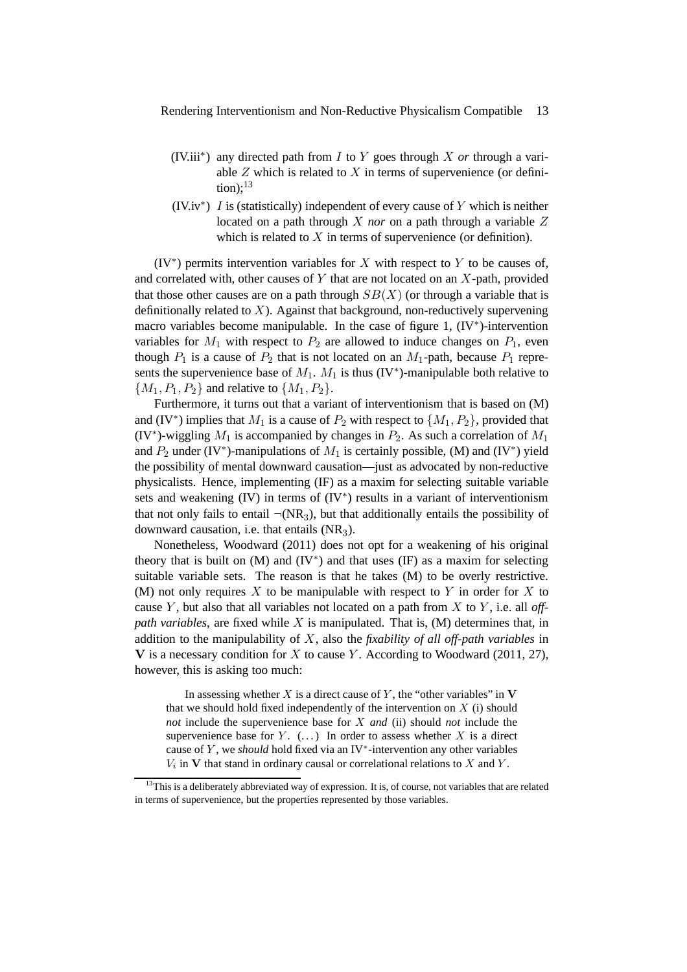- (IV.iii<sup>∗</sup> ) any directed path from I to Y goes through X *or* through a variable  $Z$  which is related to  $X$  in terms of supervenience (or defini $tion):$ <sup>13</sup>
- (IV.iv<sup>\*</sup>) *I* is (statistically) independent of every cause of Y which is neither located on a path through X *nor* on a path through a variable Z which is related to  $X$  in terms of supervenience (or definition).

(IV<sup>\*</sup>) permits intervention variables for X with respect to Y to be causes of, and correlated with, other causes of  $Y$  that are not located on an  $X$ -path, provided that those other causes are on a path through  $SB(X)$  (or through a variable that is definitionally related to  $X$ ). Against that background, non-reductively supervening macro variables become manipulable. In the case of figure 1, (IV<sup>∗</sup>)-intervention variables for  $M_1$  with respect to  $P_2$  are allowed to induce changes on  $P_1$ , even though  $P_1$  is a cause of  $P_2$  that is not located on an  $M_1$ -path, because  $P_1$  represents the supervenience base of  $M_1$ .  $M_1$  is thus (IV<sup>\*</sup>)-manipulable both relative to  $\{M_1, P_1, P_2\}$  and relative to  $\{M_1, P_2\}$ .

Furthermore, it turns out that a variant of interventionism that is based on (M) and (IV<sup>\*</sup>) implies that  $M_1$  is a cause of  $P_2$  with respect to  $\{M_1, P_2\}$ , provided that (IV<sup>\*</sup>)-wiggling  $M_1$  is accompanied by changes in  $P_2$ . As such a correlation of  $M_1$ and  $P_2$  under (IV<sup>\*</sup>)-manipulations of  $M_1$  is certainly possible, (M) and (IV<sup>\*</sup>) yield the possibility of mental downward causation—just as advocated by non-reductive physicalists. Hence, implementing (IF) as a maxim for selecting suitable variable sets and weakening  $(IV)$  in terms of  $(IV^*)$  results in a variant of interventionism that not only fails to entail  $\neg(NR_3)$ , but that additionally entails the possibility of downward causation, i.e. that entails  $(NR_3)$ .

Nonetheless, Woodward (2011) does not opt for a weakening of his original theory that is built on  $(M)$  and  $(IV^*)$  and that uses  $(IF)$  as a maxim for selecting suitable variable sets. The reason is that he takes (M) to be overly restrictive. (M) not only requires  $X$  to be manipulable with respect to  $Y$  in order for  $X$  to cause Y, but also that all variables not located on a path from X to Y, i.e. all *offpath variables*, are fixed while X is manipulated. That is, (M) determines that, in addition to the manipulability of X, also the *fixability of all off-path variables* in V is a necessary condition for X to cause Y. According to Woodward (2011, 27), however, this is asking too much:

In assessing whether  $X$  is a direct cause of  $Y$ , the "other variables" in  $V$ that we should hold fixed independently of the intervention on  $X$  (i) should *not* include the supervenience base for X *and* (ii) should *not* include the supervenience base for  $Y$ . (...) In order to assess whether  $X$  is a direct cause of Y , we *should* hold fixed via an IV<sup>∗</sup> -intervention any other variables  $V_i$  in V that stand in ordinary causal or correlational relations to X and Y.

<sup>&</sup>lt;sup>13</sup>This is a deliberately abbreviated way of expression. It is, of course, not variables that are related in terms of supervenience, but the properties represented by those variables.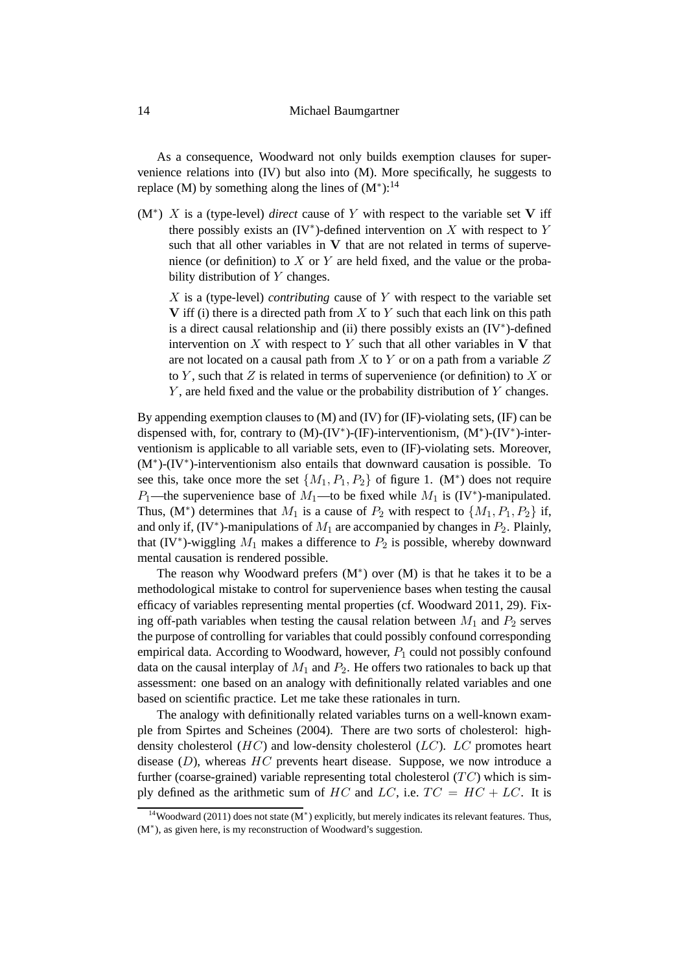#### 14 Michael Baumgartner

As a consequence, Woodward not only builds exemption clauses for supervenience relations into (IV) but also into (M). More specifically, he suggests to replace (M) by something along the lines of  $(M^*)$ :<sup>14</sup>

 $(M^*)$  X is a (type-level) *direct* cause of Y with respect to the variable set V iff there possibly exists an  $(IV^*)$ -defined intervention on X with respect to Y such that all other variables in  $V$  that are not related in terms of supervenience (or definition) to X or Y are held fixed, and the value or the probability distribution of Y changes.

X is a (type-level) *contributing* cause of Y with respect to the variable set V iff (i) there is a directed path from  $X$  to  $Y$  such that each link on this path is a direct causal relationship and (ii) there possibly exists an (IV<sup>∗</sup> )-defined intervention on  $X$  with respect to  $Y$  such that all other variables in  $V$  that are not located on a causal path from X to Y or on a path from a variable  $Z$ to Y, such that Z is related in terms of supervenience (or definition) to X or  $Y$ , are held fixed and the value or the probability distribution of  $Y$  changes.

By appending exemption clauses to (M) and (IV) for (IF)-violating sets, (IF) can be dispensed with, for, contrary to  $(M)$ - $(IV^*)$ - $(IF)$ -interventionism,  $(M^*)$ - $(IV^*)$ -interventionism is applicable to all variable sets, even to (IF)-violating sets. Moreover, (M<sup>∗</sup> )-(IV<sup>∗</sup> )-interventionism also entails that downward causation is possible. To see this, take once more the set  $\{M_1, P_1, P_2\}$  of figure 1.  $(M^*)$  does not require P<sub>1</sub>—the supervenience base of  $M_1$ —to be fixed while  $M_1$  is (IV<sup>\*</sup>)-manipulated. Thus,  $(M^*)$  determines that  $M_1$  is a cause of  $P_2$  with respect to  $\{M_1, P_1, P_2\}$  if, and only if, (IV<sup>\*</sup>)-manipulations of  $M_1$  are accompanied by changes in  $P_2$ . Plainly, that (IV<sup>\*</sup>)-wiggling  $\overline{M_1}$  makes a difference to  $\overline{P_2}$  is possible, whereby downward mental causation is rendered possible.

The reason why Woodward prefers  $(M^*)$  over  $(M)$  is that he takes it to be a methodological mistake to control for supervenience bases when testing the causal efficacy of variables representing mental properties (cf. Woodward 2011, 29). Fixing off-path variables when testing the causal relation between  $M_1$  and  $P_2$  serves the purpose of controlling for variables that could possibly confound corresponding empirical data. According to Woodward, however,  $P_1$  could not possibly confound data on the causal interplay of  $M_1$  and  $P_2$ . He offers two rationales to back up that assessment: one based on an analogy with definitionally related variables and one based on scientific practice. Let me take these rationales in turn.

The analogy with definitionally related variables turns on a well-known example from Spirtes and Scheines (2004). There are two sorts of cholesterol: highdensity cholesterol  $(HC)$  and low-density cholesterol  $(LC)$ .  $LC$  promotes heart disease  $(D)$ , whereas  $HC$  prevents heart disease. Suppose, we now introduce a further (coarse-grained) variable representing total cholesterol  $(TC)$  which is simply defined as the arithmetic sum of HC and LC, i.e.  $TC = HC + LC$ . It is

<sup>&</sup>lt;sup>14</sup>Woodward (2011) does not state (M<sup>\*</sup>) explicitly, but merely indicates its relevant features. Thus, (M<sup>∗</sup> ), as given here, is my reconstruction of Woodward's suggestion.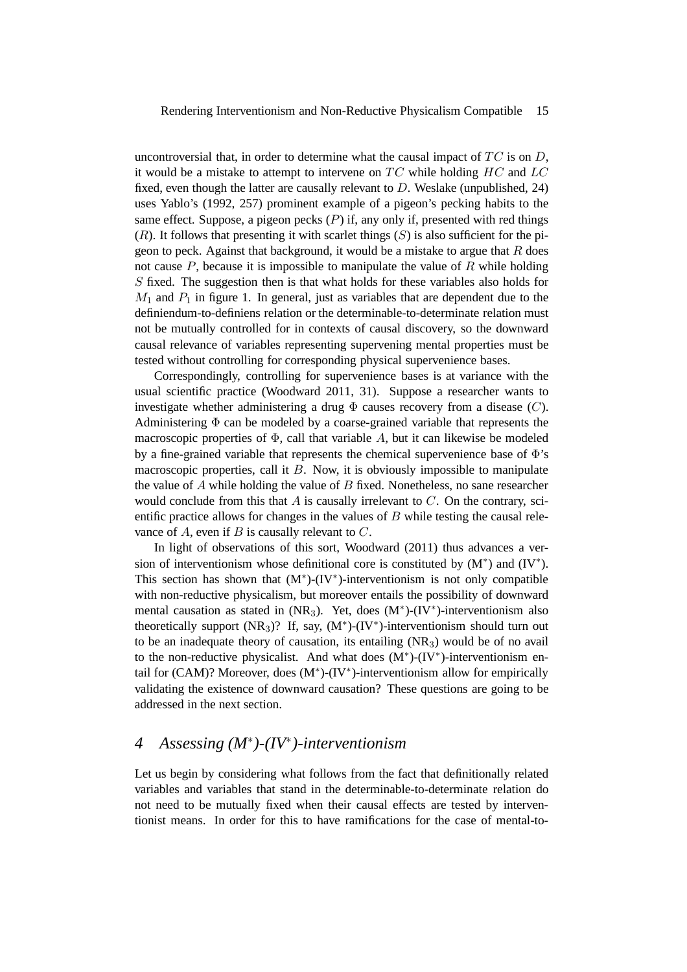uncontroversial that, in order to determine what the causal impact of  $TC$  is on  $D$ , it would be a mistake to attempt to intervene on  $TC$  while holding  $HC$  and  $LC$ fixed, even though the latter are causally relevant to  $D$ . Weslake (unpublished, 24) uses Yablo's (1992, 257) prominent example of a pigeon's pecking habits to the same effect. Suppose, a pigeon pecks  $(P)$  if, any only if, presented with red things  $(R)$ . It follows that presenting it with scarlet things  $(S)$  is also sufficient for the pigeon to peck. Against that background, it would be a mistake to argue that  $R$  does not cause  $P$ , because it is impossible to manipulate the value of  $R$  while holding S fixed. The suggestion then is that what holds for these variables also holds for  $M_1$  and  $P_1$  in figure 1. In general, just as variables that are dependent due to the definiendum-to-definiens relation or the determinable-to-determinate relation must not be mutually controlled for in contexts of causal discovery, so the downward causal relevance of variables representing supervening mental properties must be tested without controlling for corresponding physical supervenience bases.

Correspondingly, controlling for supervenience bases is at variance with the usual scientific practice (Woodward 2011, 31). Suppose a researcher wants to investigate whether administering a drug  $\Phi$  causes recovery from a disease (C). Administering  $\Phi$  can be modeled by a coarse-grained variable that represents the macroscopic properties of  $\Phi$ , call that variable A, but it can likewise be modeled by a fine-grained variable that represents the chemical supervenience base of Φ's macroscopic properties, call it B. Now, it is obviously impossible to manipulate the value of A while holding the value of B fixed. Nonetheless, no sane researcher would conclude from this that  $\tilde{A}$  is causally irrelevant to  $C$ . On the contrary, scientific practice allows for changes in the values of  $B$  while testing the causal relevance of  $A$ , even if  $B$  is causally relevant to  $C$ .

In light of observations of this sort, Woodward (2011) thus advances a version of interventionism whose definitional core is constituted by  $(M^*)$  and  $(IV^*)$ . This section has shown that  $(M^*)$ - $(IV^*)$ -interventionism is not only compatible with non-reductive physicalism, but moreover entails the possibility of downward mental causation as stated in (NR<sub>3</sub>). Yet, does  $(M^*)$ - $(W^*)$ -interventionism also theoretically support  $(NR_3)$ ? If, say,  $(M^*)$ - $(IV^*)$ -interventionism should turn out to be an inadequate theory of causation, its entailing  $(NR_3)$  would be of no avail to the non-reductive physicalist. And what does  $(M^*)$ - $(W^*)$ -interventionism entail for (CAM)? Moreover, does (M<sup>∗</sup> )-(IV<sup>∗</sup> )-interventionism allow for empirically validating the existence of downward causation? These questions are going to be addressed in the next section.

## *4 Assessing (M*<sup>∗</sup> *)-(IV*<sup>∗</sup> *)-interventionism*

Let us begin by considering what follows from the fact that definitionally related variables and variables that stand in the determinable-to-determinate relation do not need to be mutually fixed when their causal effects are tested by interventionist means. In order for this to have ramifications for the case of mental-to-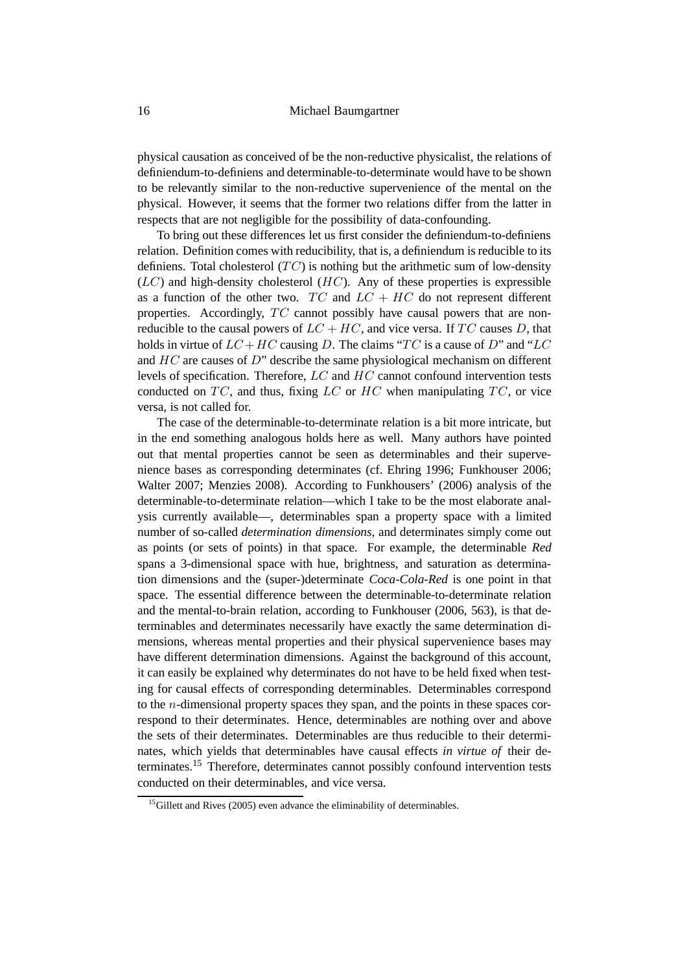#### 16 Michael Baumgartner

physical causation as conceived of be the non-reductive physicalist, the relations of definiendum-to-definiens and determinable-to-determinate would have to be shown to be relevantly similar to the non-reductive supervenience of the mental on the physical. However, it seems that the former two relations differ from the latter in respects that are not negligible for the possibility of data-confounding.

To bring out these differences let us first consider the definiendum-to-definiens relation. Definition comes with reducibility, that is, a definiendum is reducible to its definiens. Total cholesterol  $(T C)$  is nothing but the arithmetic sum of low-density  $(LC)$  and high-density cholesterol  $(HC)$ . Any of these properties is expressible as a function of the other two.  $TC$  and  $LC + HC$  do not represent different properties. Accordingly,  $TC$  cannot possibly have causal powers that are nonreducible to the causal powers of  $LC + HC$ , and vice versa. If  $TC$  causes D, that holds in virtue of  $LC + HC$  causing D. The claims "TC is a cause of D" and "LC and  $HC$  are causes of  $D^{\prime\prime}$  describe the same physiological mechanism on different levels of specification. Therefore, LC and HC cannot confound intervention tests conducted on  $TC$ , and thus, fixing  $LC$  or  $HC$  when manipulating  $TC$ , or vice versa, is not called for.

The case of the determinable-to-determinate relation is a bit more intricate, but in the end something analogous holds here as well. Many authors have pointed out that mental properties cannot be seen as determinables and their supervenience bases as corresponding determinates (cf. Ehring 1996; Funkhouser 2006; Walter 2007; Menzies 2008). According to Funkhousers' (2006) analysis of the determinable-to-determinate relation—which I take to be the most elaborate analysis currently available—, determinables span a property space with a limited number of so-called *determination dimensions*, and determinates simply come out as points (or sets of points) in that space. For example, the determinable *Red* spans a 3-dimensional space with hue, brightness, and saturation as determination dimensions and the (super-)determinate *Coca-Cola-Red* is one point in that space. The essential difference between the determinable-to-determinate relation and the mental-to-brain relation, according to Funkhouser (2006, 563), is that determinables and determinates necessarily have exactly the same determination dimensions, whereas mental properties and their physical supervenience bases may have different determination dimensions. Against the background of this account, it can easily be explained why determinates do not have to be held fixed when testing for causal effects of corresponding determinables. Determinables correspond to the n-dimensional property spaces they span, and the points in these spaces correspond to their determinates. Hence, determinables are nothing over and above the sets of their determinates. Determinables are thus reducible to their determinates, which yields that determinables have causal effects *in virtue of* their determinates.<sup>15</sup> Therefore, determinates cannot possibly confound intervention tests conducted on their determinables, and vice versa.

 $15$ Gillett and Rives (2005) even advance the eliminability of determinables.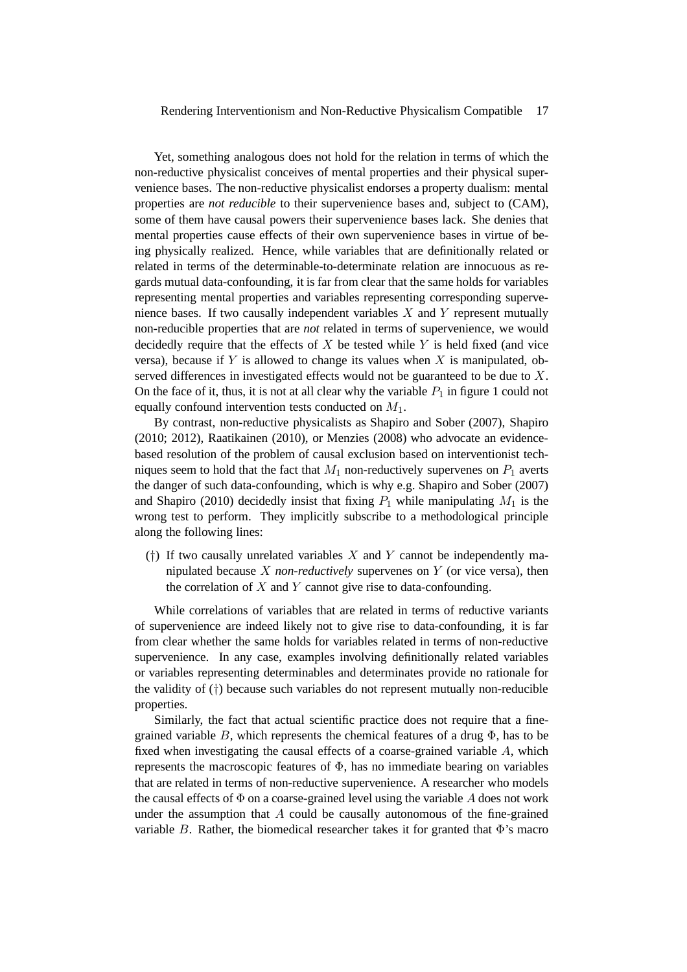Yet, something analogous does not hold for the relation in terms of which the non-reductive physicalist conceives of mental properties and their physical supervenience bases. The non-reductive physicalist endorses a property dualism: mental properties are *not reducible* to their supervenience bases and, subject to (CAM), some of them have causal powers their supervenience bases lack. She denies that mental properties cause effects of their own supervenience bases in virtue of being physically realized. Hence, while variables that are definitionally related or related in terms of the determinable-to-determinate relation are innocuous as regards mutual data-confounding, it is far from clear that the same holds for variables representing mental properties and variables representing corresponding supervenience bases. If two causally independent variables  $X$  and  $Y$  represent mutually non-reducible properties that are *not* related in terms of supervenience, we would decidedly require that the effects of  $X$  be tested while  $Y$  is held fixed (and vice versa), because if Y is allowed to change its values when X is manipulated, observed differences in investigated effects would not be guaranteed to be due to X. On the face of it, thus, it is not at all clear why the variable  $P_1$  in figure 1 could not equally confound intervention tests conducted on  $M_1$ .

By contrast, non-reductive physicalists as Shapiro and Sober (2007), Shapiro (2010; 2012), Raatikainen (2010), or Menzies (2008) who advocate an evidencebased resolution of the problem of causal exclusion based on interventionist techniques seem to hold that the fact that  $M_1$  non-reductively supervenes on  $P_1$  averts the danger of such data-confounding, which is why e.g. Shapiro and Sober (2007) and Shapiro (2010) decidedly insist that fixing  $P_1$  while manipulating  $M_1$  is the wrong test to perform. They implicitly subscribe to a methodological principle along the following lines:

(†) If two causally unrelated variables  $X$  and  $Y$  cannot be independently manipulated because X *non-reductively* supervenes on Y (or vice versa), then the correlation of  $X$  and  $Y$  cannot give rise to data-confounding.

While correlations of variables that are related in terms of reductive variants of supervenience are indeed likely not to give rise to data-confounding, it is far from clear whether the same holds for variables related in terms of non-reductive supervenience. In any case, examples involving definitionally related variables or variables representing determinables and determinates provide no rationale for the validity of (†) because such variables do not represent mutually non-reducible properties.

Similarly, the fact that actual scientific practice does not require that a finegrained variable B, which represents the chemical features of a drug  $\Phi$ , has to be fixed when investigating the causal effects of a coarse-grained variable A, which represents the macroscopic features of  $\Phi$ , has no immediate bearing on variables that are related in terms of non-reductive supervenience. A researcher who models the causal effects of  $\Phi$  on a coarse-grained level using the variable A does not work under the assumption that  $A$  could be causally autonomous of the fine-grained variable B. Rather, the biomedical researcher takes it for granted that  $\Phi$ 's macro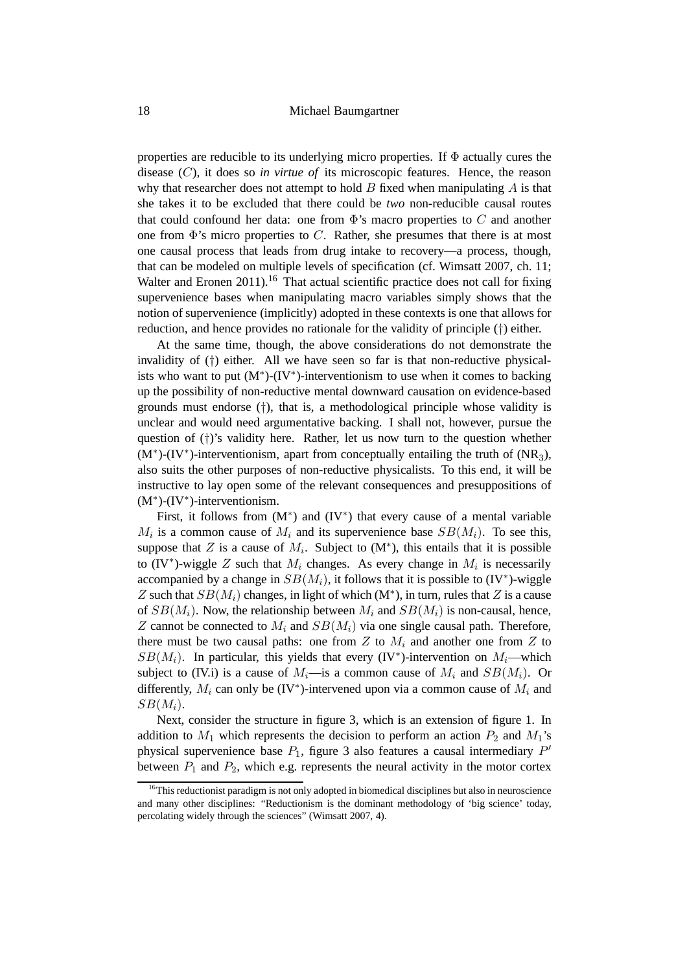properties are reducible to its underlying micro properties. If  $\Phi$  actually cures the disease (C), it does so *in virtue of* its microscopic features. Hence, the reason why that researcher does not attempt to hold  $B$  fixed when manipulating  $A$  is that she takes it to be excluded that there could be *two* non-reducible causal routes that could confound her data: one from  $\Phi$ 's macro properties to C and another one from  $\Phi$ 's micro properties to C. Rather, she presumes that there is at most one causal process that leads from drug intake to recovery—a process, though, that can be modeled on multiple levels of specification (cf. Wimsatt 2007, ch. 11; Walter and Eronen 2011).<sup>16</sup> That actual scientific practice does not call for fixing supervenience bases when manipulating macro variables simply shows that the notion of supervenience (implicitly) adopted in these contexts is one that allows for reduction, and hence provides no rationale for the validity of principle (†) either.

At the same time, though, the above considerations do not demonstrate the invalidity of (†) either. All we have seen so far is that non-reductive physicalists who want to put  $(M^*)$ - $(IV^*)$ -interventionism to use when it comes to backing up the possibility of non-reductive mental downward causation on evidence-based grounds must endorse (†), that is, a methodological principle whose validity is unclear and would need argumentative backing. I shall not, however, pursue the question of (†)'s validity here. Rather, let us now turn to the question whether  $(M^*)$ -(IV<sup>\*</sup>)-interventionism, apart from conceptually entailing the truth of (NR<sub>3</sub>), also suits the other purposes of non-reductive physicalists. To this end, it will be instructive to lay open some of the relevant consequences and presuppositions of (M<sup>∗</sup> )-(IV<sup>∗</sup> )-interventionism.

First, it follows from  $(M^*)$  and  $(IV^*)$  that every cause of a mental variable  $M_i$  is a common cause of  $M_i$  and its supervenience base  $SB(M_i)$ . To see this, suppose that Z is a cause of  $M_i$ . Subject to  $(M^*)$ , this entails that it is possible to (IV<sup>\*</sup>)-wiggle Z such that  $M_i$  changes. As every change in  $M_i$  is necessarily accompanied by a change in  $SB(M_i)$ , it follows that it is possible to (IV\*)-wiggle Z such that  $SB(M_i)$  changes, in light of which (M<sup>\*</sup>), in turn, rules that Z is a cause of  $SB(M_i)$ . Now, the relationship between  $M_i$  and  $SB(M_i)$  is non-causal, hence, Z cannot be connected to  $M_i$  and  $SB(M_i)$  via one single causal path. Therefore, there must be two causal paths: one from Z to  $M_i$  and another one from Z to  $SB(M_i)$ . In particular, this yields that every (IV<sup>\*</sup>)-intervention on  $M_i$ —which subject to (IV.i) is a cause of  $M_i$ —is a common cause of  $M_i$  and  $SB(M_i)$ . Or differently,  $M_i$  can only be (IV<sup>\*</sup>)-intervened upon via a common cause of  $M_i$  and  $SB(M_i)$ .

Next, consider the structure in figure 3, which is an extension of figure 1. In addition to  $M_1$  which represents the decision to perform an action  $P_2$  and  $M_1$ 's physical supervenience base  $P_1$ , figure 3 also features a causal intermediary  $P'$ between  $P_1$  and  $P_2$ , which e.g. represents the neural activity in the motor cortex

 $16$ This reductionist paradigm is not only adopted in biomedical disciplines but also in neuroscience and many other disciplines: "Reductionism is the dominant methodology of 'big science' today, percolating widely through the sciences" (Wimsatt 2007, 4).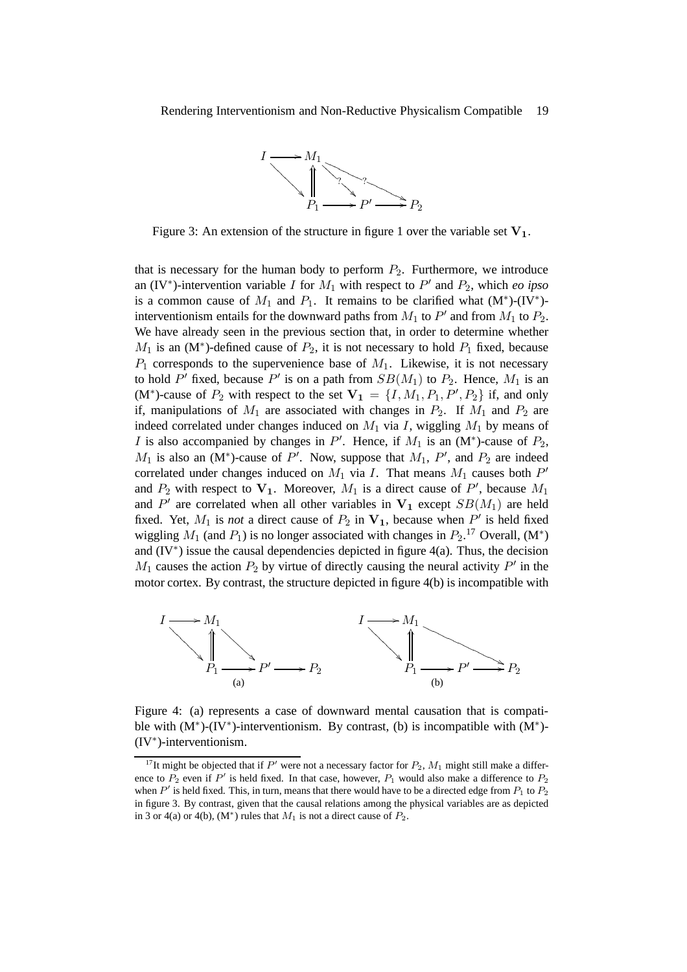

Figure 3: An extension of the structure in figure 1 over the variable set  $V_1$ .

that is necessary for the human body to perform  $P_2$ . Furthermore, we introduce an (IV<sup>\*</sup>)-intervention variable I for  $M_1$  with respect to  $P'$  and  $P_2$ , which *eo ipso* is a common cause of  $M_1$  and  $P_1$ . It remains to be clarified what  $(M^*)$ - $(W^*)$ interventionism entails for the downward paths from  $M_1$  to  $P'$  and from  $M_1$  to  $P_2$ . We have already seen in the previous section that, in order to determine whether  $M_1$  is an (M<sup>\*</sup>)-defined cause of  $P_2$ , it is not necessary to hold  $P_1$  fixed, because  $P_1$  corresponds to the supervenience base of  $M_1$ . Likewise, it is not necessary to hold P' fixed, because P' is on a path from  $SB(M_1)$  to  $P_2$ . Hence,  $M_1$  is an (M<sup>\*</sup>)-cause of  $P_2$  with respect to the set  $V_1 = \{I, M_1, P_1, P', P_2\}$  if, and only if, manipulations of  $M_1$  are associated with changes in  $P_2$ . If  $M_1$  and  $P_2$  are indeed correlated under changes induced on  $M_1$  via I, wiggling  $M_1$  by means of I is also accompanied by changes in  $P'$ . Hence, if  $M_1$  is an  $(M^*)$ -cause of  $P_2$ ,  $M_1$  is also an (M<sup>\*</sup>)-cause of P'. Now, suppose that  $M_1$ , P', and  $P_2$  are indeed correlated under changes induced on  $M_1$  via I. That means  $M_1$  causes both  $P'$ and  $P_2$  with respect to  $V_1$ . Moreover,  $M_1$  is a direct cause of  $P'$ , because  $M_1$ and  $P'$  are correlated when all other variables in  $V_1$  except  $SB(M_1)$  are held fixed. Yet,  $M_1$  is *not* a direct cause of  $P_2$  in  $V_1$ , because when  $P'$  is held fixed wiggling  $M_1$  (and  $P_1$ ) is no longer associated with changes in  $P_2$ .<sup>17</sup> Overall, (M<sup>\*</sup>) and  $(IV^*)$  issue the causal dependencies depicted in figure 4(a). Thus, the decision  $M_1$  causes the action  $P_2$  by virtue of directly causing the neural activity  $P'$  in the motor cortex. By contrast, the structure depicted in figure 4(b) is incompatible with



Figure 4: (a) represents a case of downward mental causation that is compatible with  $(M^*)$ - $(W^*)$ -interventionism. By contrast, (b) is incompatible with  $(M^*)$ -(IV<sup>∗</sup> )-interventionism.

<sup>&</sup>lt;sup>17</sup>It might be objected that if P' were not a necessary factor for  $P_2$ ,  $M_1$  might still make a difference to  $P_2$  even if P' is held fixed. In that case, however,  $P_1$  would also make a difference to  $P_2$ when  $P'$  is held fixed. This, in turn, means that there would have to be a directed edge from  $P_1$  to  $P_2$ in figure 3. By contrast, given that the causal relations among the physical variables are as depicted in 3 or 4(a) or 4(b),  $(M^*)$  rules that  $M_1$  is not a direct cause of  $P_2$ .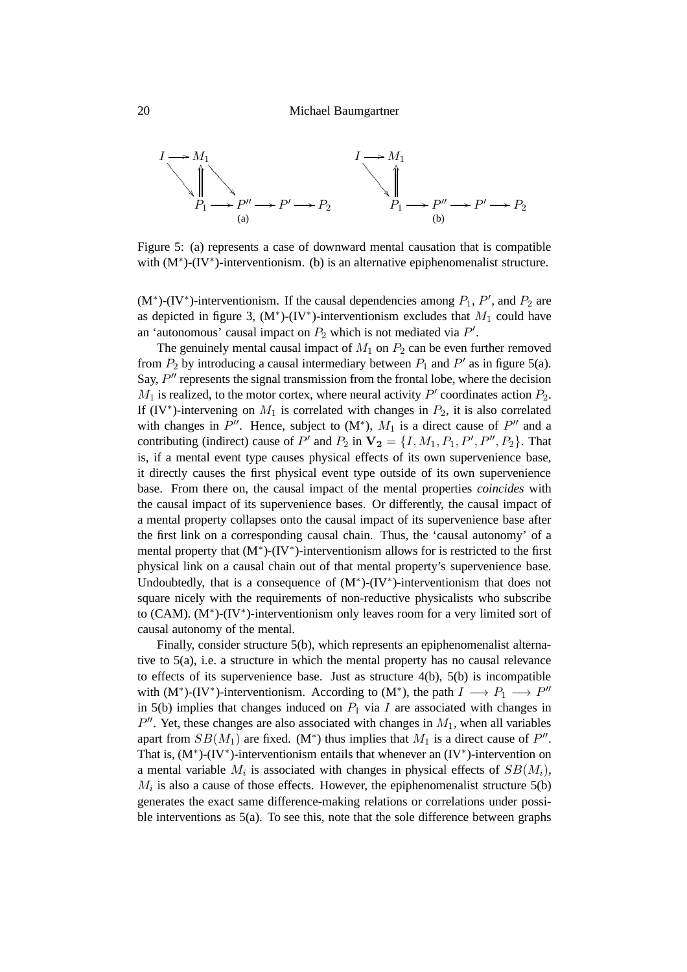20 Michael Baumgartner



Figure 5: (a) represents a case of downward mental causation that is compatible with (M<sup>\*</sup>)-(IV<sup>\*</sup>)-interventionism. (b) is an alternative epiphenomenalist structure.

(M<sup>\*</sup>)-(IV<sup>\*</sup>)-interventionism. If the causal dependencies among  $P_1$ ,  $P'$ , and  $P_2$  are as depicted in figure 3,  $(M^*)$ - $(IV^*)$ -interventionism excludes that  $M_1$  could have an 'autonomous' causal impact on  $P_2$  which is not mediated via  $P'$ .

The genuinely mental causal impact of  $M_1$  on  $P_2$  can be even further removed from  $P_2$  by introducing a causal intermediary between  $P_1$  and  $P'$  as in figure 5(a). Say,  $P''$  represents the signal transmission from the frontal lobe, where the decision  $M_1$  is realized, to the motor cortex, where neural activity P' coordinates action  $P_2$ . If (IV<sup>\*</sup>)-intervening on  $M_1$  is correlated with changes in  $P_2$ , it is also correlated with changes in  $P''$ . Hence, subject to  $(M^*)$ ,  $M_1$  is a direct cause of  $P''$  and a contributing (indirect) cause of P' and  $P_2$  in  $V_2 = \{I, M_1, P_1, P', P'', P_2\}$ . That is, if a mental event type causes physical effects of its own supervenience base, it directly causes the first physical event type outside of its own supervenience base. From there on, the causal impact of the mental properties *coincides* with the causal impact of its supervenience bases. Or differently, the causal impact of a mental property collapses onto the causal impact of its supervenience base after the first link on a corresponding causal chain. Thus, the 'causal autonomy' of a mental property that  $(M^*)$ - $(IV^*)$ -interventionism allows for is restricted to the first physical link on a causal chain out of that mental property's supervenience base. Undoubtedly, that is a consequence of  $(M^*)$ - $(IV^*)$ -interventionism that does not square nicely with the requirements of non-reductive physicalists who subscribe to (CAM). (M<sup>∗</sup> )-(IV<sup>∗</sup> )-interventionism only leaves room for a very limited sort of causal autonomy of the mental.

Finally, consider structure 5(b), which represents an epiphenomenalist alternative to 5(a), i.e. a structure in which the mental property has no causal relevance to effects of its supervenience base. Just as structure 4(b), 5(b) is incompatible with  $(M^*)$ - $(IV^*)$ -interventionism. According to  $(M^*)$ , the path  $I \longrightarrow P_1 \longrightarrow P''$ in 5(b) implies that changes induced on  $P_1$  via I are associated with changes in  $P''$ . Yet, these changes are also associated with changes in  $M_1$ , when all variables apart from  $SB(M_1)$  are fixed. (M<sup>\*</sup>) thus implies that  $M_1$  is a direct cause of P''. That is,  $(M^*)$ - $(W^*)$ -interventionism entails that whenever an  $(W^*)$ -intervention on a mental variable  $M_i$  is associated with changes in physical effects of  $SB(M_i)$ ,  $M_i$  is also a cause of those effects. However, the epiphenomenalist structure 5(b) generates the exact same difference-making relations or correlations under possible interventions as 5(a). To see this, note that the sole difference between graphs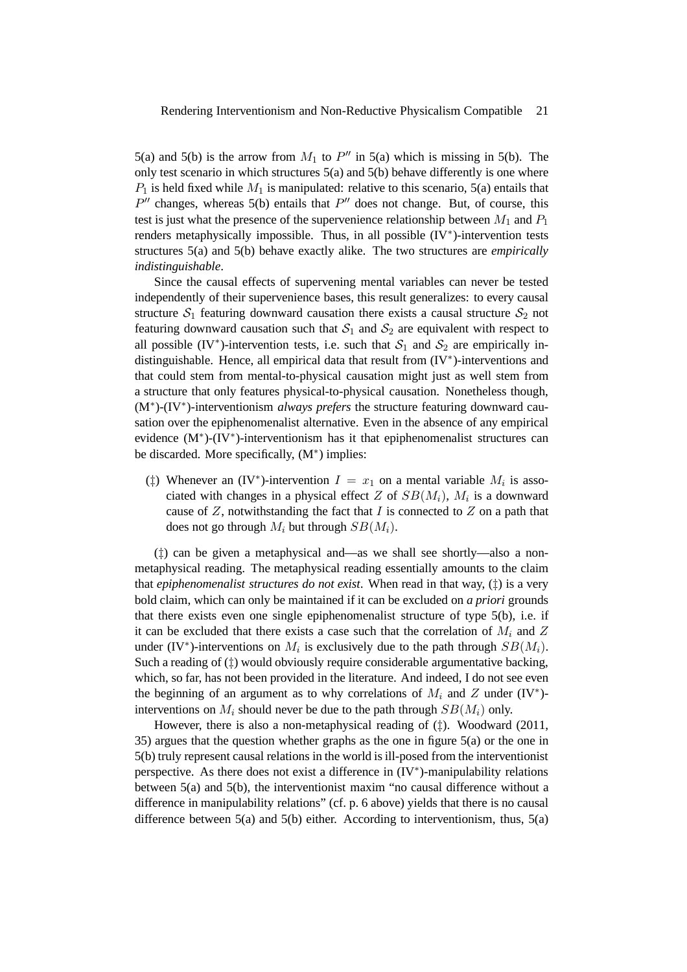5(a) and 5(b) is the arrow from  $M_1$  to  $P''$  in 5(a) which is missing in 5(b). The only test scenario in which structures 5(a) and 5(b) behave differently is one where  $P_1$  is held fixed while  $M_1$  is manipulated: relative to this scenario, 5(a) entails that  $P''$  changes, whereas 5(b) entails that  $P''$  does not change. But, of course, this test is just what the presence of the supervenience relationship between  $M_1$  and  $P_1$ renders metaphysically impossible. Thus, in all possible (IV<sup>∗</sup> )-intervention tests structures 5(a) and 5(b) behave exactly alike. The two structures are *empirically indistinguishable*.

Since the causal effects of supervening mental variables can never be tested independently of their supervenience bases, this result generalizes: to every causal structure  $S_1$  featuring downward causation there exists a causal structure  $S_2$  not featuring downward causation such that  $S_1$  and  $S_2$  are equivalent with respect to all possible (IV<sup>\*</sup>)-intervention tests, i.e. such that  $S_1$  and  $S_2$  are empirically indistinguishable. Hence, all empirical data that result from (IV<sup>∗</sup> )-interventions and that could stem from mental-to-physical causation might just as well stem from a structure that only features physical-to-physical causation. Nonetheless though, (M<sup>∗</sup> )-(IV<sup>∗</sup> )-interventionism *always prefers* the structure featuring downward causation over the epiphenomenalist alternative. Even in the absence of any empirical evidence (M<sup>\*</sup>)-(IV<sup>\*</sup>)-interventionism has it that epiphenomenalist structures can be discarded. More specifically, (M<sup>∗</sup> ) implies:

( $\ddagger$ ) Whenever an (IV<sup>\*</sup>)-intervention  $I = x_1$  on a mental variable  $M_i$  is associated with changes in a physical effect Z of  $SB(M_i)$ ,  $M_i$  is a downward cause of  $Z$ , notwithstanding the fact that  $I$  is connected to  $Z$  on a path that does not go through  $M_i$  but through  $SB(M_i)$ .

(‡) can be given a metaphysical and—as we shall see shortly—also a nonmetaphysical reading. The metaphysical reading essentially amounts to the claim that *epiphenomenalist structures do not exist*. When read in that way, (‡) is a very bold claim, which can only be maintained if it can be excluded on *a priori* grounds that there exists even one single epiphenomenalist structure of type 5(b), i.e. if it can be excluded that there exists a case such that the correlation of  $M_i$  and Z under (IV<sup>\*</sup>)-interventions on  $M_i$  is exclusively due to the path through  $SB(M_i)$ . Such a reading of (‡) would obviously require considerable argumentative backing, which, so far, has not been provided in the literature. And indeed, I do not see even the beginning of an argument as to why correlations of  $M_i$  and  $Z$  under (IV<sup>\*</sup>)interventions on  $M_i$  should never be due to the path through  $SB(M_i)$  only.

However, there is also a non-metaphysical reading of (‡). Woodward (2011, 35) argues that the question whether graphs as the one in figure 5(a) or the one in 5(b) truly represent causal relations in the world is ill-posed from the interventionist perspective. As there does not exist a difference in (IV<sup>∗</sup> )-manipulability relations between 5(a) and 5(b), the interventionist maxim "no causal difference without a difference in manipulability relations" (cf. p. 6 above) yields that there is no causal difference between 5(a) and 5(b) either. According to interventionism, thus, 5(a)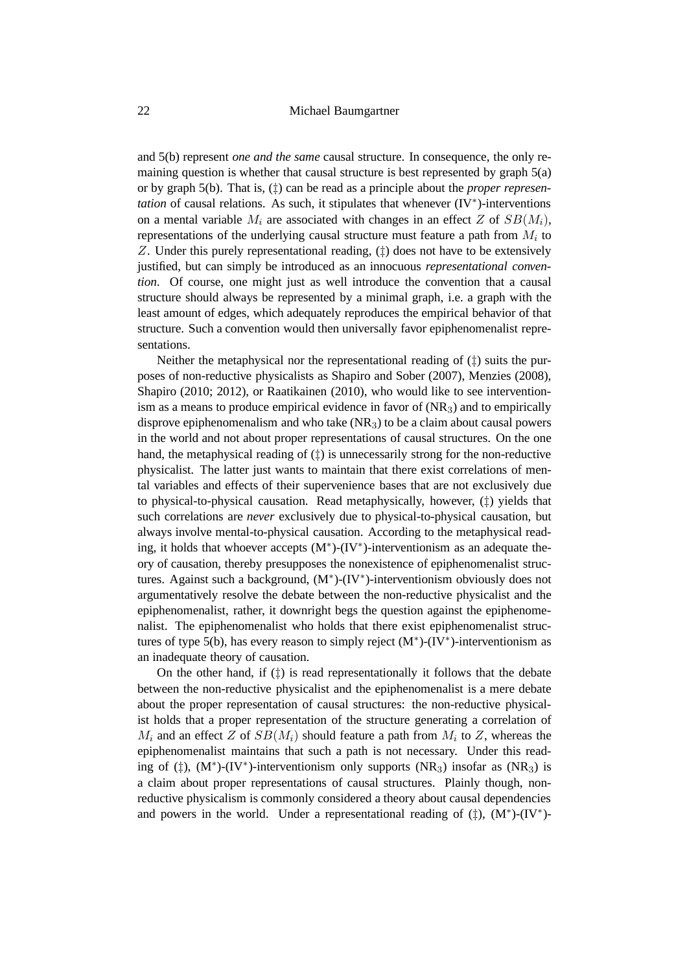and 5(b) represent *one and the same* causal structure. In consequence, the only remaining question is whether that causal structure is best represented by graph 5(a) or by graph 5(b). That is, (‡) can be read as a principle about the *proper representation* of causal relations. As such, it stipulates that whenever (IV<sup>\*</sup>)-interventions on a mental variable  $M_i$  are associated with changes in an effect Z of  $SB(M_i)$ , representations of the underlying causal structure must feature a path from  $M_i$  to Z. Under this purely representational reading, (‡) does not have to be extensively justified, but can simply be introduced as an innocuous *representational convention*. Of course, one might just as well introduce the convention that a causal structure should always be represented by a minimal graph, i.e. a graph with the least amount of edges, which adequately reproduces the empirical behavior of that structure. Such a convention would then universally favor epiphenomenalist representations.

Neither the metaphysical nor the representational reading of (‡) suits the purposes of non-reductive physicalists as Shapiro and Sober (2007), Menzies (2008), Shapiro (2010; 2012), or Raatikainen (2010), who would like to see interventionism as a means to produce empirical evidence in favor of  $(NR_3)$  and to empirically disprove epiphenomenalism and who take  $(NR_3)$  to be a claim about causal powers in the world and not about proper representations of causal structures. On the one hand, the metaphysical reading of (‡) is unnecessarily strong for the non-reductive physicalist. The latter just wants to maintain that there exist correlations of mental variables and effects of their supervenience bases that are not exclusively due to physical-to-physical causation. Read metaphysically, however, (‡) yields that such correlations are *never* exclusively due to physical-to-physical causation, but always involve mental-to-physical causation. According to the metaphysical reading, it holds that whoever accepts  $(M^*)$ - $(IV^*)$ -interventionism as an adequate theory of causation, thereby presupposes the nonexistence of epiphenomenalist structures. Against such a background,  $(M^*)$ - $(IV^*)$ -interventionism obviously does not argumentatively resolve the debate between the non-reductive physicalist and the epiphenomenalist, rather, it downright begs the question against the epiphenomenalist. The epiphenomenalist who holds that there exist epiphenomenalist structures of type 5(b), has every reason to simply reject  $(M^*)$ - $(W^*)$ -interventionism as an inadequate theory of causation.

On the other hand, if  $(\ddagger)$  is read representationally it follows that the debate between the non-reductive physicalist and the epiphenomenalist is a mere debate about the proper representation of causal structures: the non-reductive physicalist holds that a proper representation of the structure generating a correlation of  $M_i$  and an effect Z of  $SB(M_i)$  should feature a path from  $M_i$  to Z, whereas the epiphenomenalist maintains that such a path is not necessary. Under this reading of  $(\dagger)$ ,  $(M^*)$ - $(IV^*)$ -interventionism only supports  $(NR_3)$  insofar as  $(NR_3)$  is a claim about proper representations of causal structures. Plainly though, nonreductive physicalism is commonly considered a theory about causal dependencies and powers in the world. Under a representational reading of  $(\dagger)$ ,  $(M^*)$ - $(W^*)$ -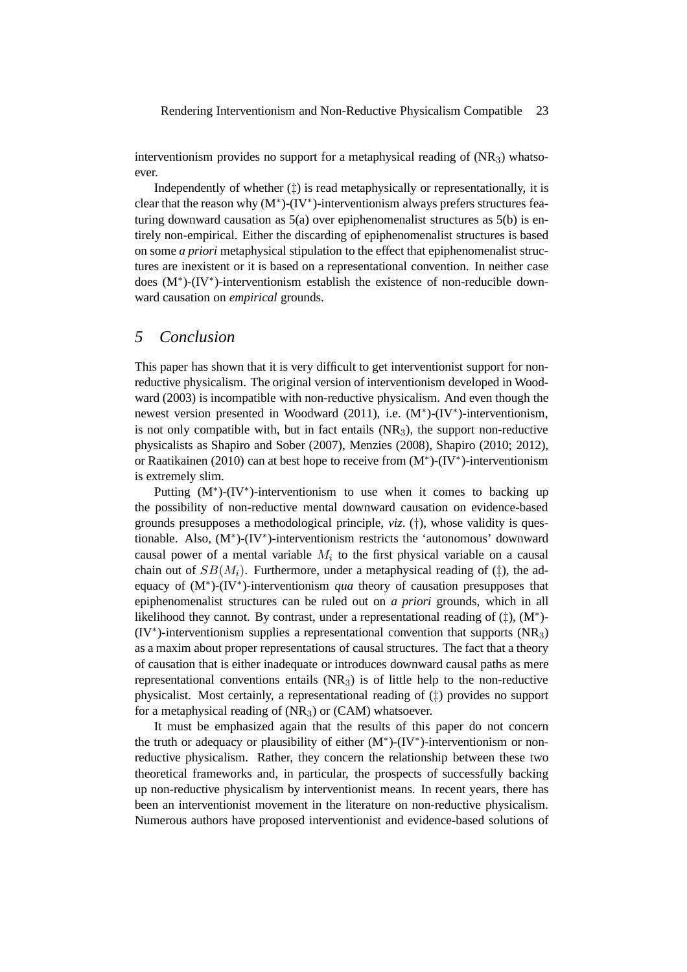interventionism provides no support for a metaphysical reading of  $(NR_3)$  whatsoever.

Independently of whether  $(†)$  is read metaphysically or representationally, it is clear that the reason why  $(M^*)$ - $(IV^*)$ -interventionism always prefers structures featuring downward causation as 5(a) over epiphenomenalist structures as 5(b) is entirely non-empirical. Either the discarding of epiphenomenalist structures is based on some *a priori* metaphysical stipulation to the effect that epiphenomenalist structures are inexistent or it is based on a representational convention. In neither case does (M<sup>∗</sup> )-(IV<sup>∗</sup> )-interventionism establish the existence of non-reducible downward causation on *empirical* grounds.

## *5 Conclusion*

This paper has shown that it is very difficult to get interventionist support for nonreductive physicalism. The original version of interventionism developed in Woodward (2003) is incompatible with non-reductive physicalism. And even though the newest version presented in Woodward (2011), i.e. (M<sup>\*</sup>)-(IV<sup>\*</sup>)-interventionism, is not only compatible with, but in fact entails  $(NR<sub>3</sub>)$ , the support non-reductive physicalists as Shapiro and Sober (2007), Menzies (2008), Shapiro (2010; 2012), or Raatikainen (2010) can at best hope to receive from (M<sup>∗</sup> )-(IV<sup>∗</sup> )-interventionism is extremely slim.

Putting (M<sup>\*</sup>)-(IV<sup>\*</sup>)-interventionism to use when it comes to backing up the possibility of non-reductive mental downward causation on evidence-based grounds presupposes a methodological principle, *viz*. (†), whose validity is questionable. Also, (M<sup>∗</sup> )-(IV<sup>∗</sup> )-interventionism restricts the 'autonomous' downward causal power of a mental variable  $M_i$  to the first physical variable on a causal chain out of  $SB(M_i)$ . Furthermore, under a metaphysical reading of (†), the adequacy of (M<sup>\*</sup>)-(IV<sup>\*</sup>)-interventionism *qua* theory of causation presupposes that epiphenomenalist structures can be ruled out on *a priori* grounds, which in all likelihood they cannot. By contrast, under a representational reading of  $(\ddagger)$ ,  $(M^*)$ -(IV<sup>∗</sup> )-interventionism supplies a representational convention that supports (NR3) as a maxim about proper representations of causal structures. The fact that a theory of causation that is either inadequate or introduces downward causal paths as mere representational conventions entails  $(NR_3)$  is of little help to the non-reductive physicalist. Most certainly, a representational reading of (‡) provides no support for a metaphysical reading of  $(NR_3)$  or  $(CAM)$  whatsoever.

It must be emphasized again that the results of this paper do not concern the truth or adequacy or plausibility of either  $(M^*)$ - $(IV^*)$ -interventionism or nonreductive physicalism. Rather, they concern the relationship between these two theoretical frameworks and, in particular, the prospects of successfully backing up non-reductive physicalism by interventionist means. In recent years, there has been an interventionist movement in the literature on non-reductive physicalism. Numerous authors have proposed interventionist and evidence-based solutions of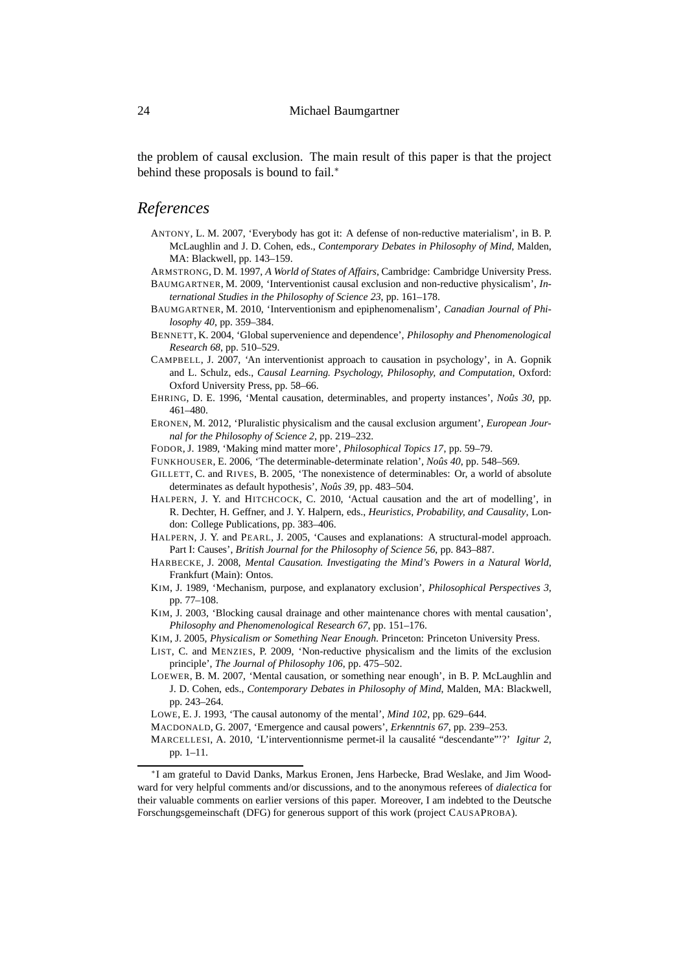the problem of causal exclusion. The main result of this paper is that the project behind these proposals is bound to fail.<sup>∗</sup>

### *References*

- ANTONY, L. M. 2007, 'Everybody has got it: A defense of non-reductive materialism', in B. P. McLaughlin and J. D. Cohen, eds., *Contemporary Debates in Philosophy of Mind*, Malden, MA: Blackwell, pp. 143–159.
- ARMSTRONG, D. M. 1997, *A World of States of Affairs*, Cambridge: Cambridge University Press.
- BAUMGARTNER, M. 2009, 'Interventionist causal exclusion and non-reductive physicalism', *International Studies in the Philosophy of Science 23*, pp. 161–178.
- BAUMGARTNER, M. 2010, 'Interventionism and epiphenomenalism', *Canadian Journal of Philosophy 40*, pp. 359–384.
- BENNETT, K. 2004, 'Global supervenience and dependence', *Philosophy and Phenomenological Research 68*, pp. 510–529.
- CAMPBELL, J. 2007, 'An interventionist approach to causation in psychology', in A. Gopnik and L. Schulz, eds., *Causal Learning. Psychology, Philosophy, and Computation*, Oxford: Oxford University Press, pp. 58–66.
- EHRING, D. E. 1996, 'Mental causation, determinables, and property instances', *Noûs 30*, pp. 461–480.
- ERONEN, M. 2012, 'Pluralistic physicalism and the causal exclusion argument', *European Journal for the Philosophy of Science 2*, pp. 219–232.

FODOR, J. 1989, 'Making mind matter more', *Philosophical Topics 17*, pp. 59–79.

- FUNKHOUSER, E. 2006, 'The determinable-determinate relation', *Noûs 40*, pp. 548–569.
- GILLETT, C. and RIVES, B. 2005, 'The nonexistence of determinables: Or, a world of absolute determinates as default hypothesis', *Noûs 39*, pp. 483–504.
- HALPERN, J. Y. and HITCHCOCK, C. 2010, 'Actual causation and the art of modelling', in R. Dechter, H. Geffner, and J. Y. Halpern, eds., *Heuristics, Probability, and Causality*, London: College Publications, pp. 383–406.
- HALPERN, J. Y. and PEARL, J. 2005, 'Causes and explanations: A structural-model approach. Part I: Causes', *British Journal for the Philosophy of Science 56*, pp. 843–887.
- HARBECKE, J. 2008, *Mental Causation. Investigating the Mind's Powers in a Natural World*, Frankfurt (Main): Ontos.
- KIM, J. 1989, 'Mechanism, purpose, and explanatory exclusion', *Philosophical Perspectives 3*, pp. 77–108.
- KIM, J. 2003, 'Blocking causal drainage and other maintenance chores with mental causation', *Philosophy and Phenomenological Research 67*, pp. 151–176.
- KIM, J. 2005, *Physicalism or Something Near Enough*. Princeton: Princeton University Press.
- LIST, C. and MENZIES, P. 2009, 'Non-reductive physicalism and the limits of the exclusion principle', *The Journal of Philosophy 106*, pp. 475–502.
- LOEWER, B. M. 2007, 'Mental causation, or something near enough', in B. P. McLaughlin and J. D. Cohen, eds., *Contemporary Debates in Philosophy of Mind*, Malden, MA: Blackwell, pp. 243–264.

LOWE, E. J. 1993, 'The causal autonomy of the mental', *Mind 102*, pp. 629–644.

MACDONALD, G. 2007, 'Emergence and causal powers', *Erkenntnis 67*, pp. 239–253.

MARCELLESI, A. 2010, 'L'interventionnisme permet-il la causalité "descendante"'?' *Igitur 2*, pp. 1–11.

<sup>∗</sup> I am grateful to David Danks, Markus Eronen, Jens Harbecke, Brad Weslake, and Jim Woodward for very helpful comments and/or discussions, and to the anonymous referees of *dialectica* for their valuable comments on earlier versions of this paper. Moreover, I am indebted to the Deutsche Forschungsgemeinschaft (DFG) for generous support of this work (project CAUSAPROBA).